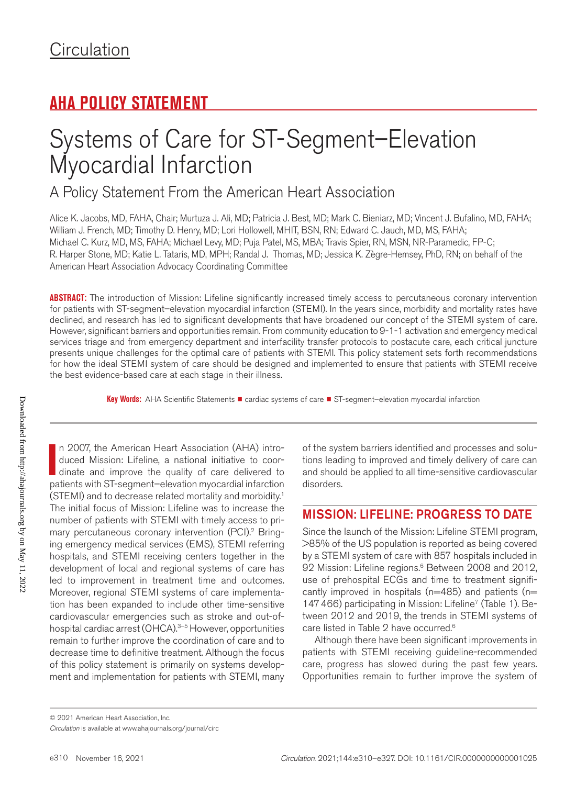# **AHA POLICY STATEMENT**

# Systems of Care for ST-Segment–Elevation Myocardial Infarction

A Policy Statement From the American Heart Association

Alice K. Jacobs, MD, FAHA, Chair; Murtuza J. Ali, MD; Patricia J. Best, MD; Mark C. Bieniarz, MD; Vincent J. Bufalino, MD, FAHA; William J. French, MD; Timothy D. Henry, MD; Lori Hollowell, MHIT, BSN, RN; Edward C. Jauch, MD, MS, FAHA; Michael C. Kurz, MD, MS, FAHA; Michael Levy, MD; Puja Patel, MS, MBA; Travis Spier, RN, MSN, NR-Paramedic, FP-C; R. Harper Stone, MD; Katie L. Tataris, MD, MPH; Randal J. Thomas, MD; Jessica K. Zègre-Hemsey, PhD, RN; on behalf of the American Heart Association Advocacy Coordinating Committee

**ABSTRACT:** The introduction of Mission: Lifeline significantly increased timely access to percutaneous coronary intervention for patients with ST-segment–elevation myocardial infarction (STEMI). In the years since, morbidity and mortality rates have declined, and research has led to significant developments that have broadened our concept of the STEMI system of care. However, significant barriers and opportunities remain. From community education to 9-1-1 activation and emergency medical services triage and from emergency department and interfacility transfer protocols to postacute care, each critical juncture presents unique challenges for the optimal care of patients with STEMI. This policy statement sets forth recommendations for how the ideal STEMI system of care should be designed and implemented to ensure that patients with STEMI receive the best evidence-based care at each stage in their illness.

Key Words: AHA Scientific Statements ■ cardiac systems of care ■ ST-segment-elevation myocardial infarction

In 2007, the American Heart Association (AHA) introduced Mission: Lifeline, a national initiative to coordinate and improve the quality of care delivered to patients with ST-segment–elevation myocardial infarction n 2007, the American Heart Association (AHA) introduced Mission: Lifeline, a national initiative to coordinate and improve the quality of care delivered to (STEMI) and to decrease related mortality and morbidity.1 The initial focus of Mission: Lifeline was to increase the number of patients with STEMI with timely access to primary percutaneous coronary intervention (PCI).<sup>2</sup> Bringing emergency medical services (EMS), STEMI referring hospitals, and STEMI receiving centers together in the development of local and regional systems of care has led to improvement in treatment time and outcomes. Moreover, regional STEMI systems of care implementation has been expanded to include other time-sensitive cardiovascular emergencies such as stroke and out-ofhospital cardiac arrest (OHCA).<sup>3-5</sup> However, opportunities remain to further improve the coordination of care and to decrease time to definitive treatment. Although the focus of this policy statement is primarily on systems development and implementation for patients with STEMI, many

of the system barriers identified and processes and solutions leading to improved and timely delivery of care can and should be applied to all time-sensitive cardiovascular disorders.

## MISSION: LIFELINE: PROGRESS TO DATE

Since the launch of the Mission: Lifeline STEMI program, >85% of the US population is reported as being covered by a STEMI system of care with 857 hospitals included in 92 Mission: Lifeline regions.<sup>6</sup> Between 2008 and 2012, use of prehospital ECGs and time to treatment significantly improved in hospitals ( $n=485$ ) and patients ( $n=$ 147466) participating in Mission: Lifeline<sup>7</sup> (Table 1). Between 2012 and 2019, the trends in STEMI systems of care listed in Table 2 have occurred.<sup>6</sup>

Although there have been significant improvements in patients with STEMI receiving guideline-recommended care, progress has slowed during the past few years. Opportunities remain to further improve the system of

*Circulation* is available at www.ahajournals.org/journal/circ © 2021 American Heart Association, Inc.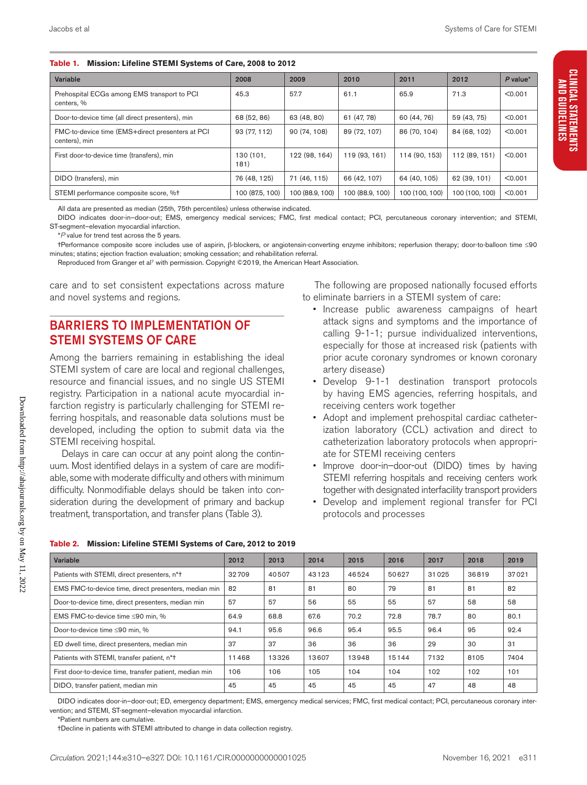#### **Table 1. Mission: Lifeline STEMI Systems of Care, 2008 to 2012**

| Variable                                                          | 2008              | 2009            | 2010            | 2011           | 2012           | P value* |
|-------------------------------------------------------------------|-------------------|-----------------|-----------------|----------------|----------------|----------|
| Prehospital ECGs among EMS transport to PCI<br>centers. %         | 45.3              | 57.7            | 61.1            | 65.9           | 71.3           | < 0.001  |
| Door-to-device time (all direct presenters), min                  | 68 (52, 86)       | 63 (48.80)      | 61 (47, 78)     | 60 (44, 76)    | 59 (43, 75)    | < 0.001  |
| FMC-to-device time (EMS+direct presenters at PCI<br>centers), min | 93 (77, 112)      | 90 (74, 108)    | 89 (72.107)     | 86 (70, 104)   | 84 (68, 102)   | < 0.001  |
| First door-to-device time (transfers), min                        | 130 (101,<br>181) | 122 (98, 164)   | 119 (93, 161)   | 114 (90, 153)  | 112 (89, 151)  | < 0.001  |
| DIDO (transfers), min                                             | 76 (48, 125)      | 71 (46, 115)    | 66 (42, 107)    | 64 (40, 105)   | 62 (39, 101)   | < 0.001  |
| STEMI performance composite score, %+                             | 100 (87.5, 100)   | 100 (88.9, 100) | 100 (88.9, 100) | 100 (100, 100) | 100 (100, 100) | < 0.001  |

All data are presented as median (25th, 75th percentiles) unless otherwise indicated.

DIDO indicates door-in–door-out; EMS, emergency medical services; FMC, first medical contact; PCI, percutaneous coronary intervention; and STEMI, ST-segment–elevation myocardial infarction.

\**P* value for trend test across the 5 years.

†Performance composite score includes use of aspirin, β-blockers, or angiotensin-converting enzyme inhibitors; reperfusion therapy; door-to-balloon time ≤90 minutes; statins; ejection fraction evaluation; smoking cessation; and rehabilitation referral.

Reproduced from Granger et al<sup>7</sup> with permission. Copyright ©2019, the American Heart Association.

care and to set consistent expectations across mature and novel systems and regions.

## BARRIERS TO IMPLEMENTATION OF STEMI SYSTEMS OF CARE

Among the barriers remaining in establishing the ideal STEMI system of care are local and regional challenges, resource and financial issues, and no single US STEMI registry. Participation in a national acute myocardial infarction registry is particularly challenging for STEMI referring hospitals, and reasonable data solutions must be developed, including the option to submit data via the STEMI receiving hospital.

Delays in care can occur at any point along the contin-Most identified delays in a system of care are modifiome with moderate difficulty and others with minimum ty. Nonmodifiable delays should be taken into contion during the development of primary and backup ent, transportation, and transfer plans (Table 3).

The following are proposed nationally focused efforts to eliminate barriers in a STEMI system of care:

- Increase public awareness campaigns of heart attack signs and symptoms and the importance of calling 9-1-1; pursue individualized interventions, especially for those at increased risk (patients with prior acute coronary syndromes or known coronary artery disease)
- Develop 9-1-1 destination transport protocols by having EMS agencies, referring hospitals, and receiving centers work together
- Adopt and implement prehospital cardiac catheterization laboratory (CCL) activation and direct to catheterization laboratory protocols when appropriate for STEMI receiving centers
- Improve door-in–door-out (DIDO) times by having STEMI referring hospitals and receiving centers work together with designated interfacility transport providers
- Develop and implement regional transfer for PCI protocols and processes

| uum. N<br>able, so<br>difficul<br>siderat<br>treatm |
|-----------------------------------------------------|
| <b>Table 2</b>                                      |
| Variable                                            |
| Patients                                            |
| <b>EMSFI</b>                                        |
| Door-to                                             |
| <b>EMS EI</b>                                       |

| Variable                                                | 2012  | 2013  | 2014  | 2015  | 2016  | 2017  | 2018  | 2019  |
|---------------------------------------------------------|-------|-------|-------|-------|-------|-------|-------|-------|
| Patients with STEMI, direct presenters, n*t             | 32709 | 40507 | 43123 | 46524 | 50627 | 31025 | 36819 | 37021 |
| EMS FMC-to-device time, direct presenters, median min   | 82    | 81    | 81    | 80    | 79    | 81    | 81    | 82    |
| Door-to-device time, direct presenters, median min      | 57    | 57    | 56    | 55    | 55    | 57    | 58    | 58    |
| EMS FMC-to-device time ≤90 min, %                       | 64.9  | 68.8  | 67.6  | 70.2  | 72.8  | 78.7  | 80    | 80.1  |
| Door-to-device time ≤90 min, %                          | 94.1  | 95.6  | 96.6  | 95.4  | 95.5  | 96.4  | 95    | 92.4  |
| ED dwell time, direct presenters, median min            | 37    | 37    | 36    | 36    | 36    | 29    | 30    | 31    |
| Patients with STEMI, transfer patient, n*t              | 11468 | 13326 | 13607 | 13948 | 15144 | 7132  | 8105  | 7404  |
| First door-to-device time, transfer patient, median min | 106   | 106   | 105   | 104   | 104   | 102   | 102   | 101   |
| DIDO, transfer patient, median min                      | 45    | 45    | 45    | 45    | 45    | 47    | 48    | 48    |

DIDO indicates door-in–door-out; ED, emergency department; EMS, emergency medical services; FMC, first medical contact; PCI, percutaneous coronary intervention; and STEMI, ST-segment–elevation myocardial infarction.

\*Patient numbers are cumulative.

†Decline in patients with STEMI attributed to change in data collection registry.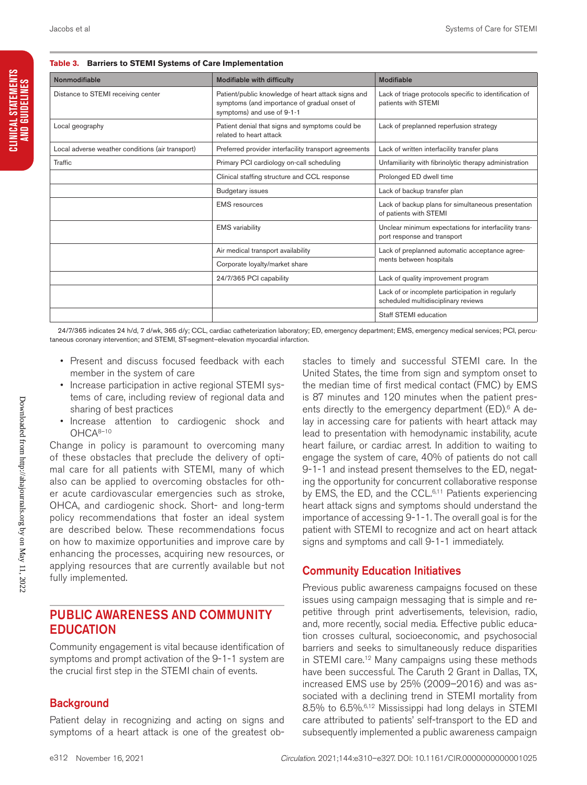**Table 3. Barriers to STEMI Systems of Care Implementation**

| Nonmodifiable                                    | <b>Modifiable with difficulty</b>                                                                                                | Modifiable                                                                              |  |
|--------------------------------------------------|----------------------------------------------------------------------------------------------------------------------------------|-----------------------------------------------------------------------------------------|--|
| Distance to STEMI receiving center               | Patient/public knowledge of heart attack signs and<br>symptoms (and importance of gradual onset of<br>symptoms) and use of 9-1-1 | Lack of triage protocols specific to identification of<br>patients with STEMI           |  |
| Local geography                                  | Patient denial that signs and symptoms could be<br>related to heart attack                                                       | Lack of preplanned reperfusion strategy                                                 |  |
| Local adverse weather conditions (air transport) | Preferred provider interfacility transport agreements                                                                            | Lack of written interfacility transfer plans                                            |  |
| Traffic                                          | Primary PCI cardiology on-call scheduling                                                                                        | Unfamiliarity with fibrinolytic therapy administration                                  |  |
|                                                  | Clinical staffing structure and CCL response                                                                                     | Prolonged ED dwell time                                                                 |  |
|                                                  | <b>Budgetary issues</b>                                                                                                          | Lack of backup transfer plan                                                            |  |
|                                                  | <b>EMS</b> resources                                                                                                             | Lack of backup plans for simultaneous presentation<br>of patients with STEMI            |  |
|                                                  | <b>EMS</b> variability                                                                                                           | Unclear minimum expectations for interfacility trans-<br>port response and transport    |  |
|                                                  | Air medical transport availability                                                                                               | Lack of preplanned automatic acceptance agree-                                          |  |
|                                                  | Corporate loyalty/market share                                                                                                   | ments between hospitals                                                                 |  |
|                                                  | 24/7/365 PCI capability                                                                                                          | Lack of quality improvement program                                                     |  |
|                                                  |                                                                                                                                  | Lack of or incomplete participation in regularly<br>scheduled multidisciplinary reviews |  |
|                                                  |                                                                                                                                  | Staff STEMI education                                                                   |  |

24/7/365 indicates 24 h/d, 7 d/wk, 365 d/y; CCL, cardiac catheterization laboratory; ED, emergency department; EMS, emergency medical services; PCI, percutaneous coronary intervention; and STEMI, ST-segment–elevation myocardial infarction.

- Present and discuss focused feedback with each member in the system of care
- Increase participation in active regional STEMI systems of care, including review of regional data and sharing of best practices
- Increase attention to cardiogenic shock and OHCA8–10

Change in policy is paramount to overcoming many of these obstacles that preclude the delivery of optimal care for all patients with STEMI, many of which also can be applied to overcoming obstacles for other acute cardiovascular emergencies such as stroke, OHCA, and cardiogenic shock. Short- and long-term policy recommendations that foster an ideal system are described below. These recommendations focus on how to maximize opportunities and improve care by enhancing the processes, acquiring new resources, or applying resources that are currently available but not fully implemented.

## PUBLIC AWARENESS AND COMMUNITY **EDUCATION**

Community engagement is vital because identification of symptoms and prompt activation of the 9-1-1 system are the crucial first step in the STEMI chain of events.

## **Background**

Patient delay in recognizing and acting on signs and symptoms of a heart attack is one of the greatest obstacles to timely and successful STEMI care. In the United States, the time from sign and symptom onset to the median time of first medical contact (FMC) by EMS is 87 minutes and 120 minutes when the patient presents directly to the emergency department  $(ED)^6$  A delay in accessing care for patients with heart attack may lead to presentation with hemodynamic instability, acute heart failure, or cardiac arrest. In addition to waiting to engage the system of care, 40% of patients do not call 9-1-1 and instead present themselves to the ED, negating the opportunity for concurrent collaborative response by EMS, the ED, and the CCL.<sup>6,11</sup> Patients experiencing heart attack signs and symptoms should understand the importance of accessing 9-1-1. The overall goal is for the patient with STEMI to recognize and act on heart attack signs and symptoms and call 9-1-1 immediately.

## Community Education Initiatives

Previous public awareness campaigns focused on these issues using campaign messaging that is simple and repetitive through print advertisements, television, radio, and, more recently, social media. Effective public education crosses cultural, socioeconomic, and psychosocial barriers and seeks to simultaneously reduce disparities in STEMI care.<sup>12</sup> Many campaigns using these methods have been successful. The Caruth 2 Grant in Dallas, TX, increased EMS use by 25% (2009–2016) and was associated with a declining trend in STEMI mortality from 8.5% to 6.5%.6,12 Mississippi had long delays in STEMI care attributed to patients' self-transport to the ED and subsequently implemented a public awareness campaign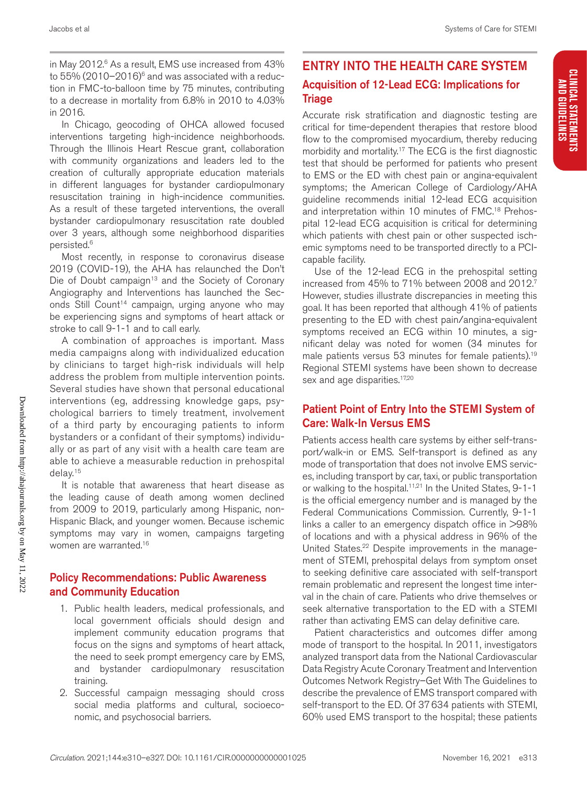CLINICAL STATEMENTS<br>And Guidelines

In Chicago, geocoding of OHCA allowed focused interventions targeting high-incidence neighborhoods. Through the Illinois Heart Rescue grant, collaboration with community organizations and leaders led to the creation of culturally appropriate education materials in different languages for bystander cardiopulmonary resuscitation training in high-incidence communities. As a result of these targeted interventions, the overall bystander cardiopulmonary resuscitation rate doubled over 3 years, although some neighborhood disparities persisted.6

Most recently, in response to coronavirus disease 2019 (COVID-19), the AHA has relaunched the Don't Die of Doubt campaign<sup>13</sup> and the Society of Coronary Angiography and Interventions has launched the Seconds Still Count<sup>14</sup> campaign, urging anyone who may be experiencing signs and symptoms of heart attack or stroke to call 9-1-1 and to call early.

A combination of approaches is important. Mass media campaigns along with individualized education by clinicians to target high-risk individuals will help address the problem from multiple intervention points. Several studies have shown that personal educational interventions (eg, addressing knowledge gaps, psychological barriers to timely treatment, involvement of a third party by encouraging patients to inform bystanders or a confidant of their symptoms) individually or as part of any visit with a health care team are able to achieve a measurable reduction in prehospital delay.15

It is notable that awareness that heart disease as the leading cause of death among women declined from 2009 to 2019, particularly among Hispanic, non-Hispanic Black, and younger women. Because ischemic symptoms may vary in women, campaigns targeting women are warranted.16

#### Policy Recommendations: Public Awareness and Community Education

- 1. Public health leaders, medical professionals, and local government officials should design and implement community education programs that focus on the signs and symptoms of heart attack, the need to seek prompt emergency care by EMS, and bystander cardiopulmonary resuscitation training.
- 2. Successful campaign messaging should cross social media platforms and cultural, socioeconomic, and psychosocial barriers.

# ENTRY INTO THE HEALTH CARE SYSTEM Acquisition of 12-Lead ECG: Implications for **Triage**

Accurate risk stratification and diagnostic testing are critical for time-dependent therapies that restore blood flow to the compromised myocardium, thereby reducing morbidity and mortality.<sup>17</sup> The ECG is the first diagnostic test that should be performed for patients who present to EMS or the ED with chest pain or angina-equivalent symptoms; the American College of Cardiology/AHA guideline recommends initial 12-lead ECG acquisition and interpretation within 10 minutes of FMC.<sup>18</sup> Prehospital 12-lead ECG acquisition is critical for determining which patients with chest pain or other suspected ischemic symptoms need to be transported directly to a PCIcapable facility.

Use of the 12-lead ECG in the prehospital setting increased from 45% to 71% between 2008 and 2012.7 However, studies illustrate discrepancies in meeting this goal. It has been reported that although 41% of patients presenting to the ED with chest pain/angina-equivalent symptoms received an ECG within 10 minutes, a significant delay was noted for women (34 minutes for male patients versus 53 minutes for female patients).<sup>19</sup> Regional STEMI systems have been shown to decrease sex and age disparities.<sup>17,20</sup>

#### Patient Point of Entry Into the STEMI System of Care: Walk-In Versus EMS

Patients access health care systems by either self-transport/walk-in or EMS. Self-transport is defined as any mode of transportation that does not involve EMS services, including transport by car, taxi, or public transportation or walking to the hospital.<sup>11,21</sup> In the United States, 9-1-1 is the official emergency number and is managed by the Federal Communications Commission. Currently, 9-1-1 links a caller to an emergency dispatch office in >98% of locations and with a physical address in 96% of the United States.<sup>22</sup> Despite improvements in the management of STEMI, prehospital delays from symptom onset to seeking definitive care associated with self-transport remain problematic and represent the longest time interval in the chain of care. Patients who drive themselves or seek alternative transportation to the ED with a STEMI rather than activating EMS can delay definitive care.

Patient characteristics and outcomes differ among mode of transport to the hospital. In 2011, investigators analyzed transport data from the National Cardiovascular Data Registry Acute Coronary Treatment and Intervention Outcomes Network Registry–Get With The Guidelines to describe the prevalence of EMS transport compared with self-transport to the ED. Of 37 634 patients with STEMI, 60% used EMS transport to the hospital; these patients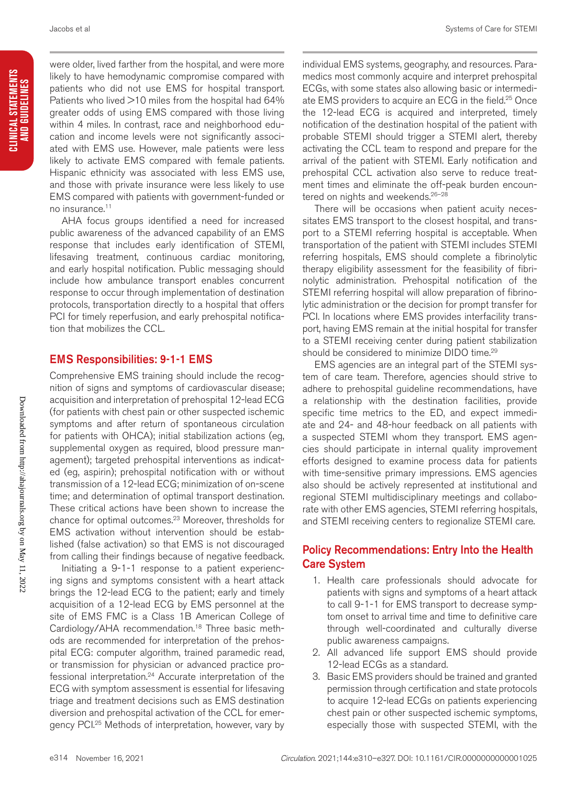were older, lived farther from the hospital, and were more likely to have hemodynamic compromise compared with patients who did not use EMS for hospital transport. Patients who lived >10 miles from the hospital had 64% greater odds of using EMS compared with those living within 4 miles. In contrast, race and neighborhood education and income levels were not significantly associated with EMS use. However, male patients were less likely to activate EMS compared with female patients. Hispanic ethnicity was associated with less EMS use, and those with private insurance were less likely to use EMS compared with patients with government-funded or no insurance.11

AHA focus groups identified a need for increased public awareness of the advanced capability of an EMS response that includes early identification of STEMI, lifesaving treatment, continuous cardiac monitoring, and early hospital notification. Public messaging should include how ambulance transport enables concurrent response to occur through implementation of destination protocols, transportation directly to a hospital that offers PCI for timely reperfusion, and early prehospital notification that mobilizes the CCL.

#### EMS Responsibilities: 9-1-1 EMS

Comprehensive EMS training should include the recognition of signs and symptoms of cardiovascular disease; acquisition and interpretation of prehospital 12-lead ECG (for patients with chest pain or other suspected ischemic symptoms and after return of spontaneous circulation for patients with OHCA); initial stabilization actions (eg, supplemental oxygen as required, blood pressure management); targeted prehospital interventions as indicated (eg, aspirin); prehospital notification with or without transmission of a 12-lead ECG; minimization of on-scene time; and determination of optimal transport destination. These critical actions have been shown to increase the chance for optimal outcomes.<sup>23</sup> Moreover, thresholds for EMS activation without intervention should be established (false activation) so that EMS is not discouraged from calling their findings because of negative feedback.

Initiating a 9-1-1 response to a patient experiencing signs and symptoms consistent with a heart attack brings the 12-lead ECG to the patient; early and timely acquisition of a 12-lead ECG by EMS personnel at the site of EMS FMC is a Class 1B American College of Cardiology/AHA recommendation.18 Three basic methods are recommended for interpretation of the prehospital ECG: computer algorithm, trained paramedic read, or transmission for physician or advanced practice professional interpretation.24 Accurate interpretation of the ECG with symptom assessment is essential for lifesaving triage and treatment decisions such as EMS destination diversion and prehospital activation of the CCL for emergency PCI.<sup>25</sup> Methods of interpretation, however, vary by individual EMS systems, geography, and resources. Paramedics most commonly acquire and interpret prehospital ECGs, with some states also allowing basic or intermediate EMS providers to acquire an ECG in the field.<sup>25</sup> Once the 12-lead ECG is acquired and interpreted, timely notification of the destination hospital of the patient with probable STEMI should trigger a STEMI alert, thereby activating the CCL team to respond and prepare for the arrival of the patient with STEMI. Early notification and prehospital CCL activation also serve to reduce treatment times and eliminate the off-peak burden encountered on nights and weekends.<sup>26-28</sup>

There will be occasions when patient acuity necessitates EMS transport to the closest hospital, and transport to a STEMI referring hospital is acceptable. When transportation of the patient with STEMI includes STEMI referring hospitals, EMS should complete a fibrinolytic therapy eligibility assessment for the feasibility of fibrinolytic administration. Prehospital notification of the STEMI referring hospital will allow preparation of fibrinolytic administration or the decision for prompt transfer for PCI. In locations where EMS provides interfacility transport, having EMS remain at the initial hospital for transfer to a STEMI receiving center during patient stabilization should be considered to minimize DIDO time.<sup>29</sup>

EMS agencies are an integral part of the STEMI system of care team. Therefore, agencies should strive to adhere to prehospital guideline recommendations, have a relationship with the destination facilities, provide specific time metrics to the ED, and expect immediate and 24- and 48-hour feedback on all patients with a suspected STEMI whom they transport. EMS agencies should participate in internal quality improvement efforts designed to examine process data for patients with time-sensitive primary impressions. EMS agencies also should be actively represented at institutional and regional STEMI multidisciplinary meetings and collaborate with other EMS agencies, STEMI referring hospitals, and STEMI receiving centers to regionalize STEMI care.

#### Policy Recommendations: Entry Into the Health Care System

- 1. Health care professionals should advocate for patients with signs and symptoms of a heart attack to call 9-1-1 for EMS transport to decrease symptom onset to arrival time and time to definitive care through well-coordinated and culturally diverse public awareness campaigns.
- 2. All advanced life support EMS should provide 12-lead ECGs as a standard.
- 3. Basic EMS providers should be trained and granted permission through certification and state protocols to acquire 12-lead ECGs on patients experiencing chest pain or other suspected ischemic symptoms, especially those with suspected STEMI, with the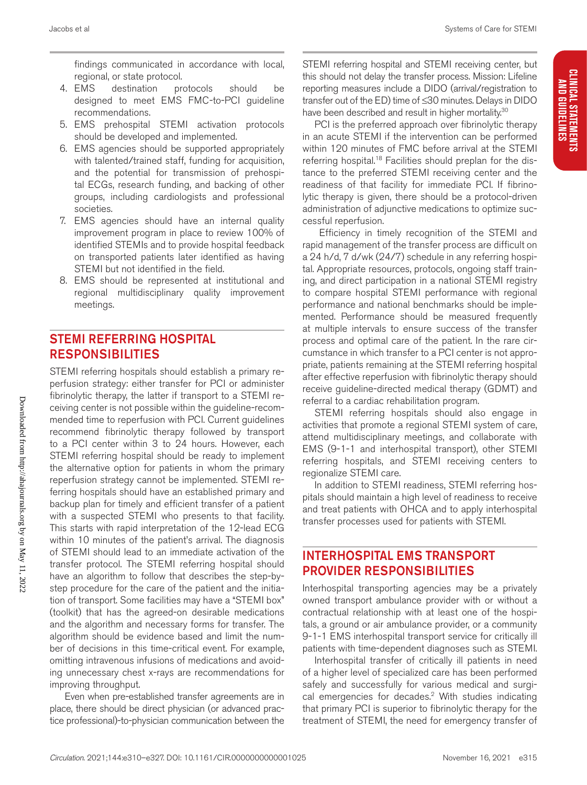findings communicated in accordance with local, regional, or state protocol.

- 4. EMS destination protocols should be designed to meet EMS FMC-to-PCI guideline recommendations.
- 5. EMS prehospital STEMI activation protocols should be developed and implemented.
- 6. EMS agencies should be supported appropriately with talented/trained staff, funding for acquisition, and the potential for transmission of prehospital ECGs, research funding, and backing of other groups, including cardiologists and professional societies.
- 7. EMS agencies should have an internal quality improvement program in place to review 100% of identified STEMIs and to provide hospital feedback on transported patients later identified as having STEMI but not identified in the field.
- 8. EMS should be represented at institutional and regional multidisciplinary quality improvement meetings.

# STEMI REFERRING HOSPITAL RESPONSIBILITIES

STEMI referring hospitals should establish a primary reperfusion strategy: either transfer for PCI or administer fibrinolytic therapy, the latter if transport to a STEMI receiving center is not possible within the guideline-recommended time to reperfusion with PCI. Current guidelines recommend fibrinolytic therapy followed by transport to a PCI center within 3 to 24 hours. However, each STEMI referring hospital should be ready to implement the alternative option for patients in whom the primary reperfusion strategy cannot be implemented. STEMI referring hospitals should have an established primary and backup plan for timely and efficient transfer of a patient with a suspected STEMI who presents to that facility. This starts with rapid interpretation of the 12-lead ECG within 10 minutes of the patient's arrival. The diagnosis of STEMI should lead to an immediate activation of the transfer protocol. The STEMI referring hospital should have an algorithm to follow that describes the step-bystep procedure for the care of the patient and the initiation of transport. Some facilities may have a "STEMI box" (toolkit) that has the agreed-on desirable medications and the algorithm and necessary forms for transfer. The algorithm should be evidence based and limit the number of decisions in this time-critical event. For example, omitting intravenous infusions of medications and avoiding unnecessary chest x-rays are recommendations for improving throughput.

 Even when pre-established transfer agreements are in place, there should be direct physician (or advanced practice professional)-to-physician communication between the

STEMI referring hospital and STEMI receiving center, but this should not delay the transfer process. Mission: Lifeline reporting measures include a DIDO (arrival/registration to transfer out of the ED) time of ≤30 minutes. Delays in DIDO have been described and result in higher mortality.<sup>30</sup>

PCI is the preferred approach over fibrinolytic therapy in an acute STEMI if the intervention can be performed within 120 minutes of FMC before arrival at the STEMI referring hospital.<sup>18</sup> Facilities should preplan for the distance to the preferred STEMI receiving center and the readiness of that facility for immediate PCI. If fibrinolytic therapy is given, there should be a protocol-driven administration of adjunctive medications to optimize successful reperfusion.

 Efficiency in timely recognition of the STEMI and rapid management of the transfer process are difficult on a 24 h/d, 7 d/wk (24/7) schedule in any referring hospital. Appropriate resources, protocols, ongoing staff training, and direct participation in a national STEMI registry to compare hospital STEMI performance with regional performance and national benchmarks should be implemented. Performance should be measured frequently at multiple intervals to ensure success of the transfer process and optimal care of the patient. In the rare circumstance in which transfer to a PCI center is not appropriate, patients remaining at the STEMI referring hospital after effective reperfusion with fibrinolytic therapy should receive guideline-directed medical therapy (GDMT) and referral to a cardiac rehabilitation program.

STEMI referring hospitals should also engage in activities that promote a regional STEMI system of care, attend multidisciplinary meetings, and collaborate with EMS (9-1-1 and interhospital transport), other STEMI referring hospitals, and STEMI receiving centers to regionalize STEMI care.

In addition to STEMI readiness, STEMI referring hospitals should maintain a high level of readiness to receive and treat patients with OHCA and to apply interhospital transfer processes used for patients with STEMI.

## INTERHOSPITAL EMS TRANSPORT PROVIDER RESPONSIBILITIES

Interhospital transporting agencies may be a privately owned transport ambulance provider with or without a contractual relationship with at least one of the hospitals, a ground or air ambulance provider, or a community 9-1-1 EMS interhospital transport service for critically ill patients with time-dependent diagnoses such as STEMI.

Interhospital transfer of critically ill patients in need of a higher level of specialized care has been performed safely and successfully for various medical and surgical emergencies for decades.<sup>2</sup> With studies indicating that primary PCI is superior to fibrinolytic therapy for the treatment of STEMI, the need for emergency transfer of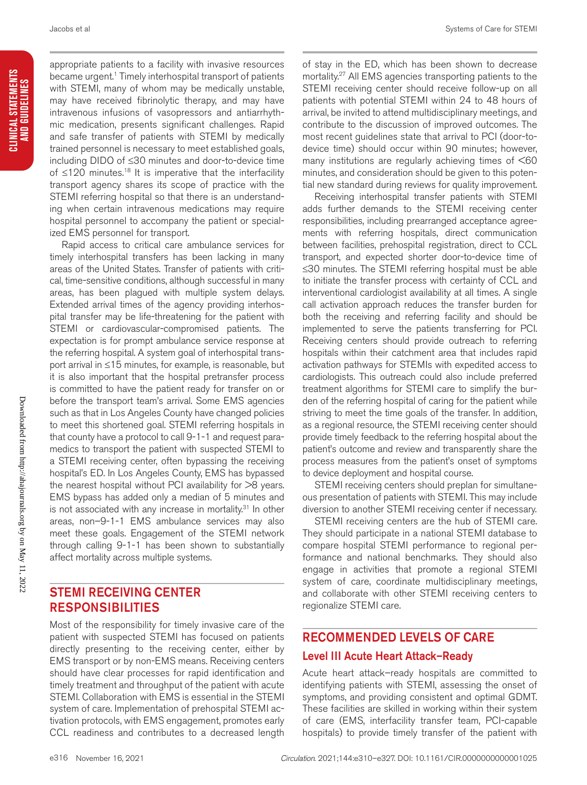appropriate patients to a facility with invasive resources became urgent.<sup>1</sup> Timely interhospital transport of patients with STEMI, many of whom may be medically unstable, may have received fibrinolytic therapy, and may have intravenous infusions of vasopressors and antiarrhythmic medication, presents significant challenges. Rapid and safe transfer of patients with STEMI by medically trained personnel is necessary to meet established goals, including DIDO of ≤30 minutes and door-to-device time of ≤120 minutes.18 It is imperative that the interfacility transport agency shares its scope of practice with the STEMI referring hospital so that there is an understanding when certain intravenous medications may require hospital personnel to accompany the patient or specialized EMS personnel for transport.

Rapid access to critical care ambulance services for timely interhospital transfers has been lacking in many areas of the United States. Transfer of patients with critical, time-sensitive conditions, although successful in many areas, has been plagued with multiple system delays. Extended arrival times of the agency providing interhospital transfer may be life-threatening for the patient with STEMI or cardiovascular-compromised patients. The expectation is for prompt ambulance service response at the referring hospital. A system goal of interhospital transport arrival in ≤15 minutes, for example, is reasonable, but it is also important that the hospital pretransfer process is committed to have the patient ready for transfer on or before the transport team's arrival. Some EMS agencies such as that in Los Angeles County have changed policies to meet this shortened goal. STEMI referring hospitals in that county have a protocol to call 9-1-1 and request paramedics to transport the patient with suspected STEMI to a STEMI receiving center, often bypassing the receiving hospital's ED. In Los Angeles County, EMS has bypassed the nearest hospital without PCI availability for >8 years. EMS bypass has added only a median of 5 minutes and is not associated with any increase in mortality. $31$  In other areas, non–9-1-1 EMS ambulance services may also meet these goals. Engagement of the STEMI network through calling 9-1-1 has been shown to substantially affect mortality across multiple systems.

#### STEMI RECEIVING CENTER RESPONSIBILITIES

Most of the responsibility for timely invasive care of the patient with suspected STEMI has focused on patients directly presenting to the receiving center, either by EMS transport or by non-EMS means. Receiving centers should have clear processes for rapid identification and timely treatment and throughput of the patient with acute STEMI. Collaboration with EMS is essential in the STEMI system of care. Implementation of prehospital STEMI activation protocols, with EMS engagement, promotes early CCL readiness and contributes to a decreased length

of stay in the ED, which has been shown to decrease mortality.27 All EMS agencies transporting patients to the STEMI receiving center should receive follow-up on all patients with potential STEMI within 24 to 48 hours of arrival, be invited to attend multidisciplinary meetings, and contribute to the discussion of improved outcomes. The most recent guidelines state that arrival to PCI (door-todevice time) should occur within 90 minutes; however, many institutions are regularly achieving times of <60 minutes, and consideration should be given to this potential new standard during reviews for quality improvement.

Receiving interhospital transfer patients with STEMI adds further demands to the STEMI receiving center responsibilities, including prearranged acceptance agreements with referring hospitals, direct communication between facilities, prehospital registration, direct to CCL transport, and expected shorter door-to-device time of ≤30 minutes. The STEMI referring hospital must be able to initiate the transfer process with certainty of CCL and interventional cardiologist availability at all times. A single call activation approach reduces the transfer burden for both the receiving and referring facility and should be implemented to serve the patients transferring for PCI. Receiving centers should provide outreach to referring hospitals within their catchment area that includes rapid activation pathways for STEMIs with expedited access to cardiologists. This outreach could also include preferred treatment algorithms for STEMI care to simplify the burden of the referring hospital of caring for the patient while striving to meet the time goals of the transfer. In addition, as a regional resource, the STEMI receiving center should provide timely feedback to the referring hospital about the patient's outcome and review and transparently share the process measures from the patient's onset of symptoms to device deployment and hospital course.

STEMI receiving centers should preplan for simultaneous presentation of patients with STEMI. This may include diversion to another STEMI receiving center if necessary.

STEMI receiving centers are the hub of STEMI care. They should participate in a national STEMI database to compare hospital STEMI performance to regional performance and national benchmarks. They should also engage in activities that promote a regional STEMI system of care, coordinate multidisciplinary meetings, and collaborate with other STEMI receiving centers to regionalize STEMI care.

# RECOMMENDED LEVELS OF CARE

#### Level III Acute Heart Attack–Ready

Acute heart attack–ready hospitals are committed to identifying patients with STEMI, assessing the onset of symptoms, and providing consistent and optimal GDMT. These facilities are skilled in working within their system of care (EMS, interfacility transfer team, PCI-capable hospitals) to provide timely transfer of the patient with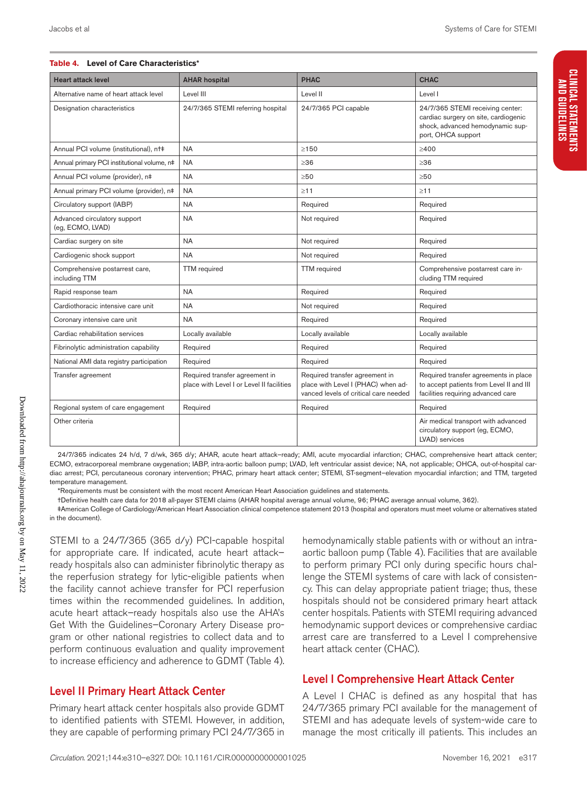#### **Table 4. Level of Care Characteristics\***

| <b>Heart attack level</b>                        | <b>AHAR hospital</b>                                                        | <b>PHAC</b>                                                                                                   | <b>CHAC</b>                                                                                                                        |
|--------------------------------------------------|-----------------------------------------------------------------------------|---------------------------------------------------------------------------------------------------------------|------------------------------------------------------------------------------------------------------------------------------------|
| Alternative name of heart attack level           | Level III                                                                   | Level II                                                                                                      | Level I                                                                                                                            |
| Designation characteristics                      | 24/7/365 STEMI referring hospital                                           | 24/7/365 PCI capable                                                                                          | 24/7/365 STEMI receiving center:<br>cardiac surgery on site, cardiogenic<br>shock, advanced hemodynamic sup-<br>port, OHCA support |
| Annual PCI volume (institutional), nt‡           | <b>NA</b>                                                                   | $\geq$ 150                                                                                                    | >400                                                                                                                               |
| Annual primary PCI institutional volume, n#      | <b>NA</b>                                                                   | >36                                                                                                           | >36                                                                                                                                |
| Annual PCI volume (provider), n‡                 | <b>NA</b>                                                                   | >50                                                                                                           | >50                                                                                                                                |
| Annual primary PCI volume (provider), n‡         | <b>NA</b>                                                                   | $\geq$ 11                                                                                                     | $\geq$ 11                                                                                                                          |
| Circulatory support (IABP)                       | <b>NA</b>                                                                   | Required                                                                                                      | Required                                                                                                                           |
| Advanced circulatory support<br>(eq. ECMO, LVAD) | <b>NA</b>                                                                   | Not required                                                                                                  | Required                                                                                                                           |
| Cardiac surgery on site                          | <b>NA</b>                                                                   | Not required                                                                                                  | Required                                                                                                                           |
| Cardiogenic shock support                        | <b>NA</b>                                                                   | Not required                                                                                                  | Required                                                                                                                           |
| Comprehensive postarrest care,<br>including TTM  | <b>TTM</b> required                                                         | <b>TTM</b> required                                                                                           | Comprehensive postarrest care in-<br>cluding TTM required                                                                          |
| Rapid response team                              | <b>NA</b>                                                                   | Required                                                                                                      | Required                                                                                                                           |
| Cardiothoracic intensive care unit               | <b>NA</b>                                                                   | Not required                                                                                                  | Required                                                                                                                           |
| Coronary intensive care unit                     | <b>NA</b>                                                                   | Required                                                                                                      | Required                                                                                                                           |
| Cardiac rehabilitation services                  | Locally available                                                           | Locally available                                                                                             | Locally available                                                                                                                  |
| Fibrinolytic administration capability           | Required                                                                    | Required                                                                                                      | Required                                                                                                                           |
| National AMI data registry participation         | Required                                                                    | Required                                                                                                      | Required                                                                                                                           |
| Transfer agreement                               | Required transfer agreement in<br>place with Level I or Level II facilities | Required transfer agreement in<br>place with Level I (PHAC) when ad-<br>vanced levels of critical care needed | Required transfer agreements in place<br>to accept patients from Level II and III<br>facilities requiring advanced care            |
| Regional system of care engagement               | Required                                                                    | Required                                                                                                      | Required                                                                                                                           |
| Other criteria                                   |                                                                             |                                                                                                               | Air medical transport with advanced<br>circulatory support (eg, ECMO,<br>LVAD) services                                            |

24/7/365 indicates 24 h/d, 7 d/wk, 365 d/y; AHAR, acute heart attack–ready; AMI, acute myocardial infarction; CHAC, comprehensive heart attack center; ECMO, extracorporeal membrane oxygenation; IABP, intra-aortic balloon pump; LVAD, left ventricular assist device; NA, not applicable; OHCA, out-of-hospital cardiac arrest; PCI, percutaneous coronary intervention; PHAC, primary heart attack center; STEMI, ST-segment–elevation myocardial infarction; and TTM, targeted temperature management.

\*Requirements must be consistent with the most recent American Heart Association guidelines and statements.

†Definitive health care data for 2018 all-payer STEMI claims (AHAR hospital average annual volume, 96; PHAC average annual volume, 362).

‡American College of Cardiology/American Heart Association clinical competence statement 2013 (hospital and operators must meet volume or alternatives stated in the document).

STEMI to a 24/7/365 (365 d/y) PCI-capable hospital for appropriate care. If indicated, acute heart attack– ready hospitals also can administer fibrinolytic therapy as the reperfusion strategy for lytic-eligible patients when the facility cannot achieve transfer for PCI reperfusion times within the recommended guidelines. In addition, acute heart attack–ready hospitals also use the AHA's Get With the Guidelines–Coronary Artery Disease program or other national registries to collect data and to perform continuous evaluation and quality improvement to increase efficiency and adherence to GDMT (Table 4).

#### Level II Primary Heart Attack Center

Primary heart attack center hospitals also provide GDMT to identified patients with STEMI. However, in addition, they are capable of performing primary PCI 24/7/365 in hemodynamically stable patients with or without an intraaortic balloon pump (Table 4). Facilities that are available to perform primary PCI only during specific hours challenge the STEMI systems of care with lack of consistency. This can delay appropriate patient triage; thus, these hospitals should not be considered primary heart attack center hospitals. Patients with STEMI requiring advanced hemodynamic support devices or comprehensive cardiac arrest care are transferred to a Level I comprehensive heart attack center (CHAC).

#### Level I Comprehensive Heart Attack Center

A Level I CHAC is defined as any hospital that has 24/7/365 primary PCI available for the management of STEMI and has adequate levels of system-wide care to manage the most critically ill patients. This includes an

Downloaded from http://ahajournals.org by on May 11, 2022

Downloaded from http://ahajournals.org by on May 11, 2022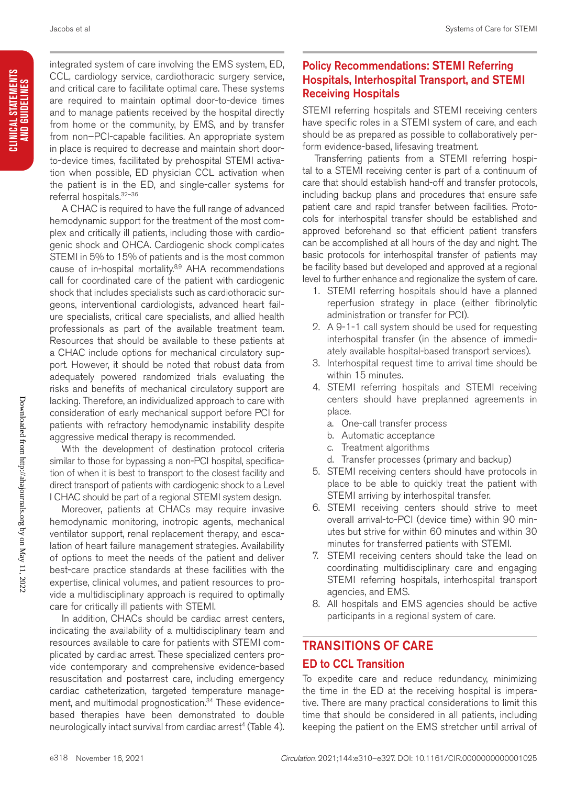CLINICAL STATEMENTS<br>And Guidelines **CLINICAL STATEMENTS AND GUIDELINES** integrated system of care involving the EMS system, ED, CCL, cardiology service, cardiothoracic surgery service, and critical care to facilitate optimal care. These systems are required to maintain optimal door-to-device times and to manage patients received by the hospital directly from home or the community, by EMS, and by transfer from non–PCI-capable facilities. An appropriate system in place is required to decrease and maintain short doorto-device times, facilitated by prehospital STEMI activation when possible, ED physician CCL activation when the patient is in the ED, and single-caller systems for referral hospitals.32–36

A CHAC is required to have the full range of advanced hemodynamic support for the treatment of the most complex and critically ill patients, including those with cardiogenic shock and OHCA. Cardiogenic shock complicates STEMI in 5% to 15% of patients and is the most common cause of in-hospital mortality.<sup>8,9</sup> AHA recommendations call for coordinated care of the patient with cardiogenic shock that includes specialists such as cardiothoracic surgeons, interventional cardiologists, advanced heart failure specialists, critical care specialists, and allied health professionals as part of the available treatment team. Resources that should be available to these patients at a CHAC include options for mechanical circulatory support. However, it should be noted that robust data from adequately powered randomized trials evaluating the risks and benefits of mechanical circulatory support are lacking. Therefore, an individualized approach to care with consideration of early mechanical support before PCI for patients with refractory hemodynamic instability despite aggressive medical therapy is recommended.

With the development of destination protocol criteria similar to those for bypassing a non-PCI hospital, specification of when it is best to transport to the closest facility and direct transport of patients with cardiogenic shock to a Level I CHAC should be part of a regional STEMI system design.

Moreover, patients at CHACs may require invasive hemodynamic monitoring, inotropic agents, mechanical ventilator support, renal replacement therapy, and escalation of heart failure management strategies. Availability of options to meet the needs of the patient and deliver best-care practice standards at these facilities with the expertise, clinical volumes, and patient resources to provide a multidisciplinary approach is required to optimally care for critically ill patients with STEMI.

In addition, CHACs should be cardiac arrest centers, indicating the availability of a multidisciplinary team and resources available to care for patients with STEMI complicated by cardiac arrest. These specialized centers provide contemporary and comprehensive evidence-based resuscitation and postarrest care, including emergency cardiac catheterization, targeted temperature management, and multimodal prognostication.<sup>34</sup> These evidencebased therapies have been demonstrated to double neurologically intact survival from cardiac arrest<sup>4</sup> (Table 4).

## Policy Recommendations: STEMI Referring Hospitals, Interhospital Transport, and STEMI Receiving Hospitals

STEMI referring hospitals and STEMI receiving centers have specific roles in a STEMI system of care, and each should be as prepared as possible to collaboratively perform evidence-based, lifesaving treatment.

Transferring patients from a STEMI referring hospital to a STEMI receiving center is part of a continuum of care that should establish hand-off and transfer protocols, including backup plans and procedures that ensure safe patient care and rapid transfer between facilities. Protocols for interhospital transfer should be established and approved beforehand so that efficient patient transfers can be accomplished at all hours of the day and night. The basic protocols for interhospital transfer of patients may be facility based but developed and approved at a regional level to further enhance and regionalize the system of care.

- 1. STEMI referring hospitals should have a planned reperfusion strategy in place (either fibrinolytic administration or transfer for PCI).
- 2. A 9-1-1 call system should be used for requesting interhospital transfer (in the absence of immediately available hospital-based transport services).
- 3. Interhospital request time to arrival time should be within 15 minutes.
- 4. STEMI referring hospitals and STEMI receiving centers should have preplanned agreements in place.
	- a. One-call transfer process
	- b. Automatic acceptance
	- c. Treatment algorithms
	- d. Transfer processes (primary and backup)
- 5. STEMI receiving centers should have protocols in place to be able to quickly treat the patient with STEMI arriving by interhospital transfer.
- 6. STEMI receiving centers should strive to meet overall arrival-to-PCI (device time) within 90 minutes but strive for within 60 minutes and within 30 minutes for transferred patients with STEMI.
- 7. STEMI receiving centers should take the lead on coordinating multidisciplinary care and engaging STEMI referring hospitals, interhospital transport agencies, and EMS.
- 8. All hospitals and EMS agencies should be active participants in a regional system of care.

## TRANSITIONS OF CARE

#### ED to CCL Transition

To expedite care and reduce redundancy, minimizing the time in the ED at the receiving hospital is imperative. There are many practical considerations to limit this time that should be considered in all patients, including keeping the patient on the EMS stretcher until arrival of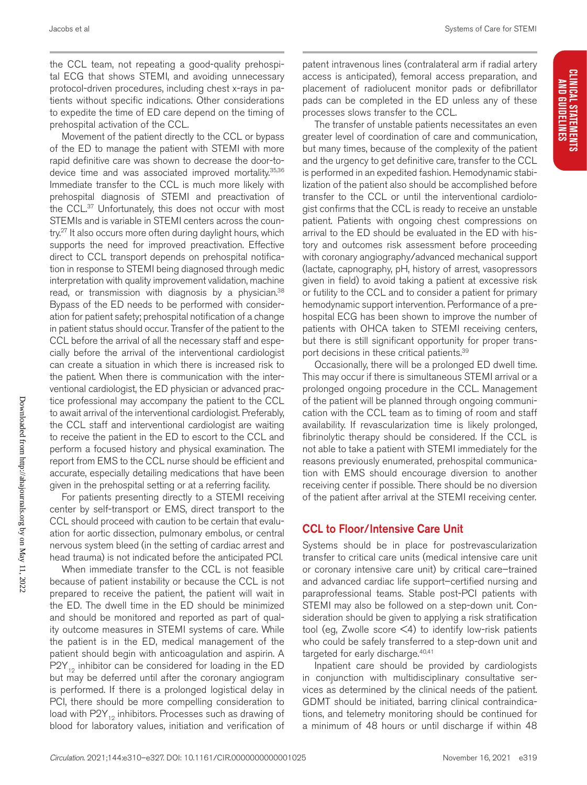the CCL team, not repeating a good-quality prehospital ECG that shows STEMI, and avoiding unnecessary protocol-driven procedures, including chest x-rays in patients without specific indications. Other considerations to expedite the time of ED care depend on the timing of prehospital activation of the CCL.

Movement of the patient directly to the CCL or bypass of the ED to manage the patient with STEMI with more rapid definitive care was shown to decrease the door-todevice time and was associated improved mortality.<sup>35,36</sup> Immediate transfer to the CCL is much more likely with prehospital diagnosis of STEMI and preactivation of the CCL.37 Unfortunately, this does not occur with most STEMIs and is variable in STEMI centers across the country.<sup>27</sup> It also occurs more often during daylight hours, which supports the need for improved preactivation. Effective direct to CCL transport depends on prehospital notification in response to STEMI being diagnosed through medic interpretation with quality improvement validation, machine read, or transmission with diagnosis by a physician.<sup>38</sup> Bypass of the ED needs to be performed with consideration for patient safety; prehospital notification of a change in patient status should occur. Transfer of the patient to the CCL before the arrival of all the necessary staff and especially before the arrival of the interventional cardiologist can create a situation in which there is increased risk to the patient. When there is communication with the interventional cardiologist, the ED physician or advanced practice professional may accompany the patient to the CCL to await arrival of the interventional cardiologist. Preferably, the CCL staff and interventional cardiologist are waiting to receive the patient in the ED to escort to the CCL and perform a focused history and physical examination. The report from EMS to the CCL nurse should be efficient and accurate, especially detailing medications that have been given in the prehospital setting or at a referring facility.

For patients presenting directly to a STEMI receiving center by self-transport or EMS, direct transport to the CCL should proceed with caution to be certain that evaluation for aortic dissection, pulmonary embolus, or central nervous system bleed (in the setting of cardiac arrest and head trauma) is not indicated before the anticipated PCI.

When immediate transfer to the CCL is not feasible because of patient instability or because the CCL is not prepared to receive the patient, the patient will wait in the ED. The dwell time in the ED should be minimized and should be monitored and reported as part of quality outcome measures in STEMI systems of care. While the patient is in the ED, medical management of the patient should begin with anticoagulation and aspirin. A  $P2Y_{12}$  inhibitor can be considered for loading in the ED but may be deferred until after the coronary angiogram is performed. If there is a prolonged logistical delay in PCI, there should be more compelling consideration to load with  $P2Y_{12}$  inhibitors. Processes such as drawing of blood for laboratory values, initiation and verification of

patent intravenous lines (contralateral arm if radial artery access is anticipated), femoral access preparation, and placement of radiolucent monitor pads or defibrillator pads can be completed in the ED unless any of these processes slows transfer to the CCL.

The transfer of unstable patients necessitates an even greater level of coordination of care and communication, but many times, because of the complexity of the patient and the urgency to get definitive care, transfer to the CCL is performed in an expedited fashion. Hemodynamic stabilization of the patient also should be accomplished before transfer to the CCL or until the interventional cardiologist confirms that the CCL is ready to receive an unstable patient. Patients with ongoing chest compressions on arrival to the ED should be evaluated in the ED with history and outcomes risk assessment before proceeding with coronary angiography/advanced mechanical support (lactate, capnography, pH, history of arrest, vasopressors given in field) to avoid taking a patient at excessive risk or futility to the CCL and to consider a patient for primary hemodynamic support intervention. Performance of a prehospital ECG has been shown to improve the number of patients with OHCA taken to STEMI receiving centers, but there is still significant opportunity for proper transport decisions in these critical patients.39

Occasionally, there will be a prolonged ED dwell time. This may occur if there is simultaneous STEMI arrival or a prolonged ongoing procedure in the CCL. Management of the patient will be planned through ongoing communication with the CCL team as to timing of room and staff availability. If revascularization time is likely prolonged, fibrinolytic therapy should be considered. If the CCL is not able to take a patient with STEMI immediately for the reasons previously enumerated, prehospital communication with EMS should encourage diversion to another receiving center if possible. There should be no diversion of the patient after arrival at the STEMI receiving center.

#### CCL to Floor/Intensive Care Unit

Systems should be in place for postrevascularization transfer to critical care units (medical intensive care unit or coronary intensive care unit) by critical care–trained and advanced cardiac life support–certified nursing and paraprofessional teams. Stable post-PCI patients with STEMI may also be followed on a step-down unit. Consideration should be given to applying a risk stratification tool (eg, Zwolle score  $\leq 4$ ) to identify low-risk patients who could be safely transferred to a step-down unit and targeted for early discharge.<sup>40,41</sup>

Inpatient care should be provided by cardiologists in conjunction with multidisciplinary consultative services as determined by the clinical needs of the patient. GDMT should be initiated, barring clinical contraindications, and telemetry monitoring should be continued for a minimum of 48 hours or until discharge if within 48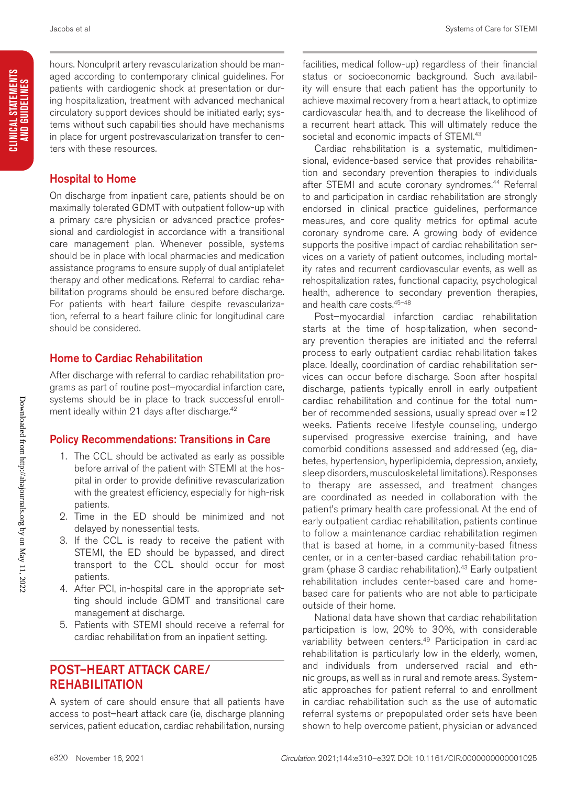CLINICAL STATEMENTS<br>And Guidelines

hours. Nonculprit artery revascularization should be managed according to contemporary clinical guidelines. For patients with cardiogenic shock at presentation or during hospitalization, treatment with advanced mechanical circulatory support devices should be initiated early; systems without such capabilities should have mechanisms in place for urgent postrevascularization transfer to centers with these resources.

#### Hospital to Home

On discharge from inpatient care, patients should be on maximally tolerated GDMT with outpatient follow-up with a primary care physician or advanced practice professional and cardiologist in accordance with a transitional care management plan. Whenever possible, systems should be in place with local pharmacies and medication assistance programs to ensure supply of dual antiplatelet therapy and other medications. Referral to cardiac rehabilitation programs should be ensured before discharge. For patients with heart failure despite revascularization, referral to a heart failure clinic for longitudinal care should be considered.

#### Home to Cardiac Rehabilitation

After discharge with referral to cardiac rehabilitation programs as part of routine post–myocardial infarction care, systems should be in place to track successful enrollment ideally within 21 days after discharge.<sup>42</sup>

#### Policy Recommendations: Transitions in Care

- 1. The CCL should be activated as early as possible before arrival of the patient with STEMI at the hospital in order to provide definitive revascularization with the greatest efficiency, especially for high-risk patients.
- 2. Time in the ED should be minimized and not delayed by nonessential tests.
- 3. If the CCL is ready to receive the patient with STEMI, the ED should be bypassed, and direct transport to the CCL should occur for most patients.
- 4. After PCI, in-hospital care in the appropriate setting should include GDMT and transitional care management at discharge.
- 5. Patients with STEMI should receive a referral for cardiac rehabilitation from an inpatient setting.

# POST–HEART ATTACK CARE/ REHABILITATION

A system of care should ensure that all patients have access to post–heart attack care (ie, discharge planning services, patient education, cardiac rehabilitation, nursing

facilities, medical follow-up) regardless of their financial status or socioeconomic background. Such availability will ensure that each patient has the opportunity to achieve maximal recovery from a heart attack, to optimize cardiovascular health, and to decrease the likelihood of a recurrent heart attack. This will ultimately reduce the societal and economic impacts of STEMI.<sup>43</sup>

Cardiac rehabilitation is a systematic, multidimensional, evidence-based service that provides rehabilitation and secondary prevention therapies to individuals after STEMI and acute coronary syndromes.<sup>44</sup> Referral to and participation in cardiac rehabilitation are strongly endorsed in clinical practice guidelines, performance measures, and core quality metrics for optimal acute coronary syndrome care. A growing body of evidence supports the positive impact of cardiac rehabilitation services on a variety of patient outcomes, including mortality rates and recurrent cardiovascular events, as well as rehospitalization rates, functional capacity, psychological health, adherence to secondary prevention therapies, and health care costs.45–48

Post–myocardial infarction cardiac rehabilitation starts at the time of hospitalization, when secondary prevention therapies are initiated and the referral process to early outpatient cardiac rehabilitation takes place. Ideally, coordination of cardiac rehabilitation services can occur before discharge. Soon after hospital discharge, patients typically enroll in early outpatient cardiac rehabilitation and continue for the total number of recommended sessions, usually spread over ≈12 weeks. Patients receive lifestyle counseling, undergo supervised progressive exercise training, and have comorbid conditions assessed and addressed (eg, diabetes, hypertension, hyperlipidemia, depression, anxiety, sleep disorders, musculoskeletal limitations). Responses to therapy are assessed, and treatment changes are coordinated as needed in collaboration with the patient's primary health care professional. At the end of early outpatient cardiac rehabilitation, patients continue to follow a maintenance cardiac rehabilitation regimen that is based at home, in a community-based fitness center, or in a center-based cardiac rehabilitation program (phase 3 cardiac rehabilitation).<sup>43</sup> Early outpatient rehabilitation includes center-based care and homebased care for patients who are not able to participate outside of their home.

National data have shown that cardiac rehabilitation participation is low, 20% to 30%, with considerable variability between centers.<sup>49</sup> Participation in cardiac rehabilitation is particularly low in the elderly, women, and individuals from underserved racial and ethnic groups, as well as in rural and remote areas. Systematic approaches for patient referral to and enrollment in cardiac rehabilitation such as the use of automatic referral systems or prepopulated order sets have been shown to help overcome patient, physician or advanced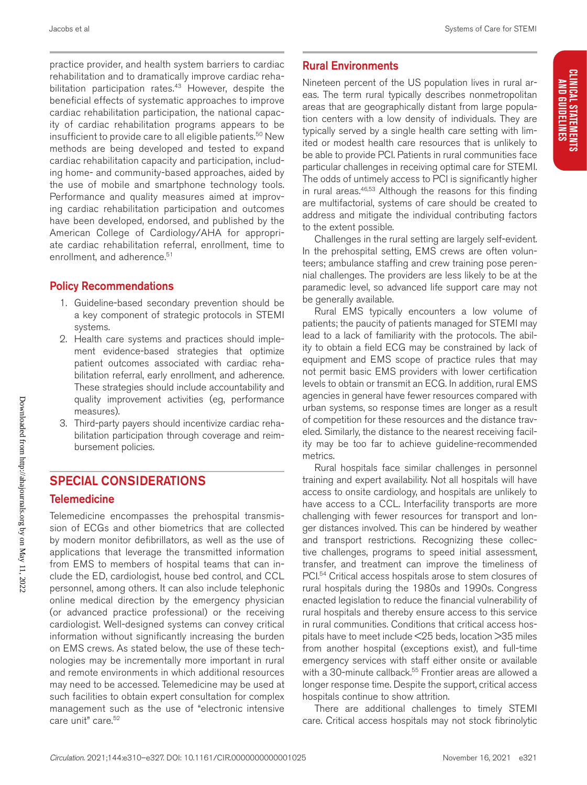CLINICAL STATEMENTS<br>And Guidelines

practice provider, and health system barriers to cardiac rehabilitation and to dramatically improve cardiac rehabilitation participation rates.<sup>43</sup> However, despite the beneficial effects of systematic approaches to improve cardiac rehabilitation participation, the national capacity of cardiac rehabilitation programs appears to be insufficient to provide care to all eligible patients.<sup>50</sup> New methods are being developed and tested to expand cardiac rehabilitation capacity and participation, including home- and community-based approaches, aided by the use of mobile and smartphone technology tools. Performance and quality measures aimed at improving cardiac rehabilitation participation and outcomes have been developed, endorsed, and published by the American College of Cardiology/AHA for appropriate cardiac rehabilitation referral, enrollment, time to enrollment, and adherence.<sup>51</sup>

#### Policy Recommendations

- 1. Guideline-based secondary prevention should be a key component of strategic protocols in STEMI systems.
- 2. Health care systems and practices should implement evidence-based strategies that optimize patient outcomes associated with cardiac rehabilitation referral, early enrollment, and adherence. These strategies should include accountability and quality improvement activities (eg, performance measures).
- 3. Third-party payers should incentivize cardiac rehabilitation participation through coverage and reimbursement policies.

## SPECIAL CONSIDERATIONS

#### **Telemedicine**

Telemedicine encompasses the prehospital transmission of ECGs and other biometrics that are collected by modern monitor defibrillators, as well as the use of applications that leverage the transmitted information from EMS to members of hospital teams that can include the ED, cardiologist, house bed control, and CCL personnel, among others. It can also include telephonic online medical direction by the emergency physician (or advanced practice professional) or the receiving cardiologist. Well-designed systems can convey critical information without significantly increasing the burden on EMS crews. As stated below, the use of these technologies may be incrementally more important in rural and remote environments in which additional resources may need to be accessed. Telemedicine may be used at such facilities to obtain expert consultation for complex management such as the use of "electronic intensive care unit" care.<sup>52</sup>

## Rural Environments

Nineteen percent of the US population lives in rural areas. The term rural typically describes nonmetropolitan areas that are geographically distant from large population centers with a low density of individuals. They are typically served by a single health care setting with limited or modest health care resources that is unlikely to be able to provide PCI. Patients in rural communities face particular challenges in receiving optimal care for STEMI. The odds of untimely access to PCI is significantly higher in rural areas.<sup>46,53</sup> Although the reasons for this finding are multifactorial, systems of care should be created to address and mitigate the individual contributing factors to the extent possible.

Challenges in the rural setting are largely self-evident. In the prehospital setting, EMS crews are often volunteers; ambulance staffing and crew training pose perennial challenges. The providers are less likely to be at the paramedic level, so advanced life support care may not be generally available.

Rural EMS typically encounters a low volume of patients; the paucity of patients managed for STEMI may lead to a lack of familiarity with the protocols. The ability to obtain a field ECG may be constrained by lack of equipment and EMS scope of practice rules that may not permit basic EMS providers with lower certification levels to obtain or transmit an ECG. In addition, rural EMS agencies in general have fewer resources compared with urban systems, so response times are longer as a result of competition for these resources and the distance traveled. Similarly, the distance to the nearest receiving facility may be too far to achieve guideline-recommended metrics.

Rural hospitals face similar challenges in personnel training and expert availability. Not all hospitals will have access to onsite cardiology, and hospitals are unlikely to have access to a CCL. Interfacility transports are more challenging with fewer resources for transport and longer distances involved. This can be hindered by weather and transport restrictions. Recognizing these collective challenges, programs to speed initial assessment, transfer, and treatment can improve the timeliness of PCI.54 Critical access hospitals arose to stem closures of rural hospitals during the 1980s and 1990s. Congress enacted legislation to reduce the financial vulnerability of rural hospitals and thereby ensure access to this service in rural communities. Conditions that critical access hospitals have to meet include <25 beds, location >35 miles from another hospital (exceptions exist), and full-time emergency services with staff either onsite or available with a 30-minute callback.<sup>55</sup> Frontier areas are allowed a longer response time. Despite the support, critical access hospitals continue to show attrition.

There are additional challenges to timely STEMI care. Critical access hospitals may not stock fibrinolytic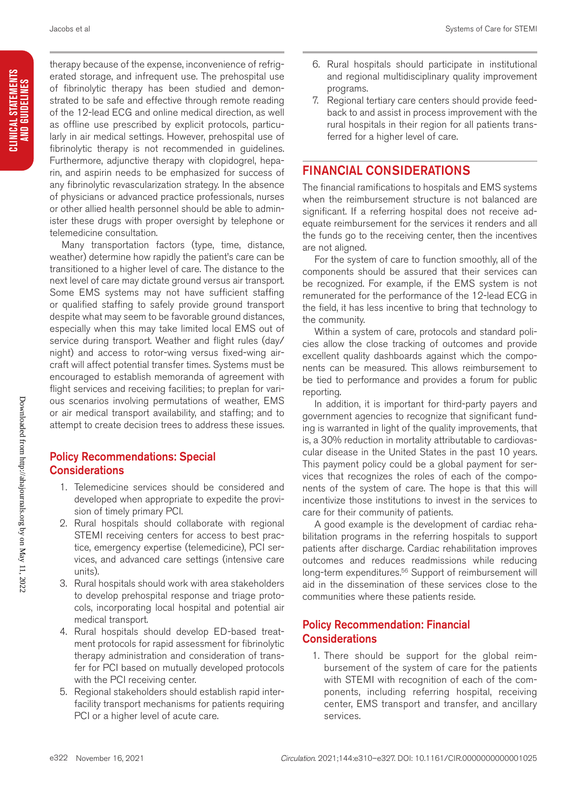therapy because of the expense, inconvenience of refrigerated storage, and infrequent use. The prehospital use of fibrinolytic therapy has been studied and demonstrated to be safe and effective through remote reading of the 12-lead ECG and online medical direction, as well as offline use prescribed by explicit protocols, particularly in air medical settings. However, prehospital use of fibrinolytic therapy is not recommended in guidelines. Furthermore, adjunctive therapy with clopidogrel, heparin, and aspirin needs to be emphasized for success of any fibrinolytic revascularization strategy. In the absence of physicians or advanced practice professionals, nurses or other allied health personnel should be able to administer these drugs with proper oversight by telephone or telemedicine consultation.

Many transportation factors (type, time, distance, weather) determine how rapidly the patient's care can be transitioned to a higher level of care. The distance to the next level of care may dictate ground versus air transport. Some EMS systems may not have sufficient staffing or qualified staffing to safely provide ground transport despite what may seem to be favorable ground distances, especially when this may take limited local EMS out of service during transport. Weather and flight rules (day/ night) and access to rotor-wing versus fixed-wing aircraft will affect potential transfer times. Systems must be encouraged to establish memoranda of agreement with flight services and receiving facilities; to preplan for various scenarios involving permutations of weather, EMS or air medical transport availability, and staffing; and to attempt to create decision trees to address these issues.

#### Policy Recommendations: Special **Considerations**

- 1. Telemedicine services should be considered and developed when appropriate to expedite the provision of timely primary PCI.
- 2. Rural hospitals should collaborate with regional STEMI receiving centers for access to best practice, emergency expertise (telemedicine), PCI services, and advanced care settings (intensive care units).
- 3. Rural hospitals should work with area stakeholders to develop prehospital response and triage protocols, incorporating local hospital and potential air medical transport.
- 4. Rural hospitals should develop ED-based treatment protocols for rapid assessment for fibrinolytic therapy administration and consideration of transfer for PCI based on mutually developed protocols with the PCI receiving center.
- 5. Regional stakeholders should establish rapid interfacility transport mechanisms for patients requiring PCI or a higher level of acute care.
- 6. Rural hospitals should participate in institutional and regional multidisciplinary quality improvement programs.
- 7. Regional tertiary care centers should provide feedback to and assist in process improvement with the rural hospitals in their region for all patients transferred for a higher level of care.

# FINANCIAL CONSIDERATIONS

The financial ramifications to hospitals and EMS systems when the reimbursement structure is not balanced are significant. If a referring hospital does not receive adequate reimbursement for the services it renders and all the funds go to the receiving center, then the incentives are not aligned.

For the system of care to function smoothly, all of the components should be assured that their services can be recognized. For example, if the EMS system is not remunerated for the performance of the 12-lead ECG in the field, it has less incentive to bring that technology to the community.

Within a system of care, protocols and standard policies allow the close tracking of outcomes and provide excellent quality dashboards against which the components can be measured. This allows reimbursement to be tied to performance and provides a forum for public reporting.

In addition, it is important for third-party payers and government agencies to recognize that significant funding is warranted in light of the quality improvements, that is, a 30% reduction in mortality attributable to cardiovascular disease in the United States in the past 10 years. This payment policy could be a global payment for services that recognizes the roles of each of the components of the system of care. The hope is that this will incentivize those institutions to invest in the services to care for their community of patients.

A good example is the development of cardiac rehabilitation programs in the referring hospitals to support patients after discharge. Cardiac rehabilitation improves outcomes and reduces readmissions while reducing long-term expenditures.<sup>56</sup> Support of reimbursement will aid in the dissemination of these services close to the communities where these patients reside.

## Policy Recommendation: Financial **Considerations**

1. There should be support for the global reimbursement of the system of care for the patients with STEMI with recognition of each of the components, including referring hospital, receiving center, EMS transport and transfer, and ancillary services.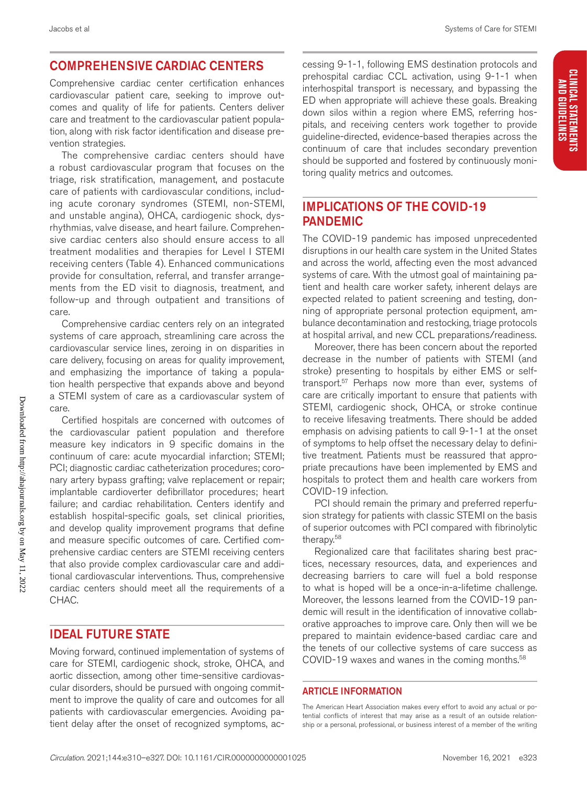# CLINICAL STATEMENTS<br>And Guidelines **CLINICAL STATEMENTS AND GUIDELINES**

### COMPREHENSIVE CARDIAC CENTERS

Comprehensive cardiac center certification enhances cardiovascular patient care, seeking to improve outcomes and quality of life for patients. Centers deliver care and treatment to the cardiovascular patient population, along with risk factor identification and disease prevention strategies.

The comprehensive cardiac centers should have a robust cardiovascular program that focuses on the triage, risk stratification, management, and postacute care of patients with cardiovascular conditions, including acute coronary syndromes (STEMI, non-STEMI, and unstable angina), OHCA, cardiogenic shock, dysrhythmias, valve disease, and heart failure. Comprehensive cardiac centers also should ensure access to all treatment modalities and therapies for Level I STEMI receiving centers (Table 4). Enhanced communications provide for consultation, referral, and transfer arrangements from the ED visit to diagnosis, treatment, and follow-up and through outpatient and transitions of care.

Comprehensive cardiac centers rely on an integrated systems of care approach, streamlining care across the cardiovascular service lines, zeroing in on disparities in care delivery, focusing on areas for quality improvement, and emphasizing the importance of taking a population health perspective that expands above and beyond a STEMI system of care as a cardiovascular system of care.

Certified hospitals are concerned with outcomes of the cardiovascular patient population and therefore measure key indicators in 9 specific domains in the continuum of care: acute myocardial infarction; STEMI; PCI; diagnostic cardiac catheterization procedures; coronary artery bypass grafting; valve replacement or repair; implantable cardioverter defibrillator procedures; heart failure; and cardiac rehabilitation. Centers identify and establish hospital-specific goals, set clinical priorities, and develop quality improvement programs that define and measure specific outcomes of care. Certified comprehensive cardiac centers are STEMI receiving centers that also provide complex cardiovascular care and additional cardiovascular interventions. Thus, comprehensive cardiac centers should meet all the requirements of a CHAC.

#### IDEAL FUTURE STATE

Moving forward, continued implementation of systems of care for STEMI, cardiogenic shock, stroke, OHCA, and aortic dissection, among other time-sensitive cardiovascular disorders, should be pursued with ongoing commitment to improve the quality of care and outcomes for all patients with cardiovascular emergencies. Avoiding patient delay after the onset of recognized symptoms, accessing 9-1-1, following EMS destination protocols and prehospital cardiac CCL activation, using 9-1-1 when interhospital transport is necessary, and bypassing the ED when appropriate will achieve these goals. Breaking down silos within a region where EMS, referring hospitals, and receiving centers work together to provide guideline-directed, evidence-based therapies across the continuum of care that includes secondary prevention should be supported and fostered by continuously monitoring quality metrics and outcomes.

## IMPLICATIONS OF THE COVID-19 PANDEMIC

The COVID-19 pandemic has imposed unprecedented disruptions in our health care system in the United States and across the world, affecting even the most advanced systems of care. With the utmost goal of maintaining patient and health care worker safety, inherent delays are expected related to patient screening and testing, donning of appropriate personal protection equipment, ambulance decontamination and restocking, triage protocols at hospital arrival, and new CCL preparations/readiness.

Moreover, there has been concern about the reported decrease in the number of patients with STEMI (and stroke) presenting to hospitals by either EMS or selftransport.57 Perhaps now more than ever, systems of care are critically important to ensure that patients with STEMI, cardiogenic shock, OHCA, or stroke continue to receive lifesaving treatments. There should be added emphasis on advising patients to call 9-1-1 at the onset of symptoms to help offset the necessary delay to definitive treatment. Patients must be reassured that appropriate precautions have been implemented by EMS and hospitals to protect them and health care workers from COVID-19 infection.

PCI should remain the primary and preferred reperfusion strategy for patients with classic STEMI on the basis of superior outcomes with PCI compared with fibrinolytic therapy.58

Regionalized care that facilitates sharing best practices, necessary resources, data, and experiences and decreasing barriers to care will fuel a bold response to what is hoped will be a once-in-a-lifetime challenge. Moreover, the lessons learned from the COVID-19 pandemic will result in the identification of innovative collaborative approaches to improve care. Only then will we be prepared to maintain evidence-based cardiac care and the tenets of our collective systems of care success as COVID-19 waxes and wanes in the coming months.<sup>58</sup>

#### ARTICLE INFORMATION

The American Heart Association makes every effort to avoid any actual or potential conflicts of interest that may arise as a result of an outside relationship or a personal, professional, or business interest of a member of the writing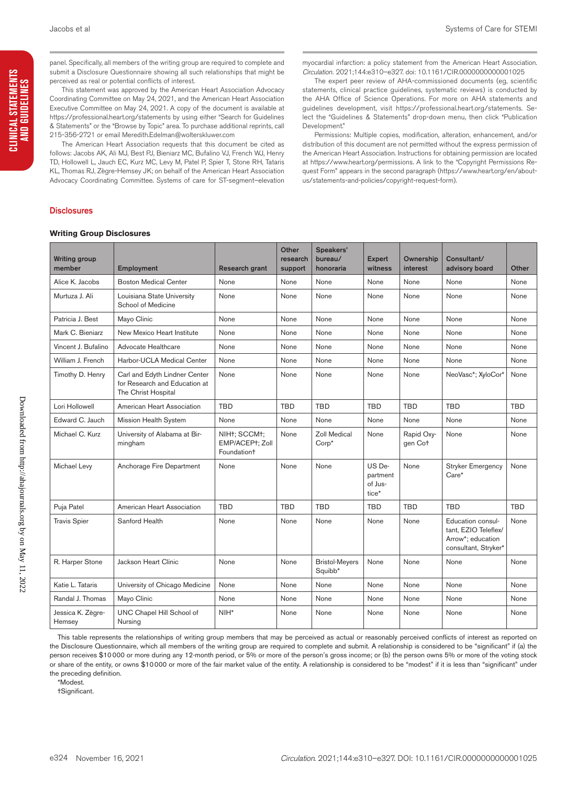panel. Specifically, all members of the writing group are required to complete and submit a Disclosure Questionnaire showing all such relationships that might be perceived as real or potential conflicts of interest.

This statement was approved by the American Heart Association Advocacy Coordinating Committee on May 24, 2021, and the American Heart Association Executive Committee on May 24, 2021. A copy of the document is available at https://professional.heart.org/statements by using either "Search for Guidelines & Statements" or the "Browse by Topic" area. To purchase additional reprints, call 215-356-2721 or email Meredith.Edelman@wolterskluwer.com

The American Heart Association requests that this document be cited as follows: Jacobs AK, Ali MJ, Best PJ, Bieniarz MC, Bufalino VJ, French WJ, Henry TD, Hollowell L, Jauch EC, Kurz MC, Levy M, Patel P, Spier T, Stone RH, Tataris KL, Thomas RJ, Zègre-Hemsey JK; on behalf of the American Heart Association Advocacy Coordinating Committee. Systems of care for ST-segment–elevation

myocardial infarction: a policy statement from the American Heart Association. *Circulation.* 2021;144:e310–e327. doi: 10.1161/CIR.0000000000001025

The expert peer review of AHA-commissioned documents (eg, scientific statements, clinical practice guidelines, systematic reviews) is conducted by the AHA Office of Science Operations. For more on AHA statements and guidelines development, visit https://professional.heart.org/statements. Select the "Guidelines & Statements" drop-down menu, then click "Publication Development."

Permissions: Multiple copies, modification, alteration, enhancement, and/or distribution of this document are not permitted without the express permission of the American Heart Association. Instructions for obtaining permission are located at https://www.heart.org/permissions. A link to the "Copyright Permissions Request Form" appears in the second paragraph (https://www.heart.org/en/aboutus/statements-and-policies/copyright-request-form).

#### **Disclosures**

#### **Writing Group Disclosures**

| <b>Writing group</b><br>member | Employment                                                                            | <b>Research grant</b>                                      | Other<br>research<br>support | Speakers'<br>bureau/<br>honoraria | <b>Expert</b><br>witness               | Ownership<br>interest | Consultant/<br>advisory board                                                          | Other      |
|--------------------------------|---------------------------------------------------------------------------------------|------------------------------------------------------------|------------------------------|-----------------------------------|----------------------------------------|-----------------------|----------------------------------------------------------------------------------------|------------|
| Alice K. Jacobs                | <b>Boston Medical Center</b>                                                          | None                                                       | None                         | None                              | None                                   | None                  | None                                                                                   | None       |
| Murtuza J. Ali                 | Louisiana State University<br>School of Medicine                                      | None                                                       | None                         | None                              | None                                   | None                  | None                                                                                   | None       |
| Patricia J. Best               | Mayo Clinic                                                                           | None                                                       | None                         | None                              | None                                   | None                  | None                                                                                   | None       |
| Mark C. Bieniarz               | New Mexico Heart Institute                                                            | None                                                       | None                         | None                              | None                                   | None                  | None                                                                                   | None       |
| Vincent J. Bufalino            | Advocate Healthcare                                                                   | None                                                       | None                         | None                              | None                                   | None                  | None                                                                                   | None       |
| William J. French              | Harbor-UCLA Medical Center                                                            | None                                                       | None                         | None                              | None                                   | None                  | None                                                                                   | None       |
| Timothy D. Henry               | Carl and Edyth Lindner Center<br>for Research and Education at<br>The Christ Hospital | None                                                       | None                         | None                              | None                                   | None                  | NeoVasc*; XyloCor*                                                                     | None       |
| Lori Hollowell                 | American Heart Association                                                            | <b>TBD</b>                                                 | <b>TBD</b>                   | <b>TBD</b>                        | <b>TBD</b>                             | <b>TBD</b>            | <b>TBD</b>                                                                             | <b>TBD</b> |
| Edward C. Jauch                | Mission Health System                                                                 | None                                                       | None                         | None                              | None                                   | None                  | None                                                                                   | None       |
| Michael C. Kurz                | University of Alabama at Bir-<br>mingham                                              | NIHt; SCCMt;<br>EMP/ACEPt; Zoll<br>Foundation <sup>+</sup> | None                         | Zoll Medical<br>$Corp*$           | None                                   | Rapid Oxy-<br>gen Cot | None                                                                                   | None       |
| Michael Levy                   | Anchorage Fire Department                                                             | None                                                       | None                         | None                              | US De-<br>partment<br>of Jus-<br>tice* | None                  | <b>Stryker Emergency</b><br>$Care*$                                                    | None       |
| Puja Patel                     | American Heart Association                                                            | <b>TBD</b>                                                 | <b>TBD</b>                   | <b>TBD</b>                        | <b>TBD</b>                             | <b>TBD</b>            | <b>TBD</b>                                                                             | <b>TBD</b> |
| <b>Travis Spier</b>            | Sanford Health                                                                        | None                                                       | None                         | None                              | None                                   | None                  | Education consul-<br>tant, EZIO Teleflex/<br>Arrow*; education<br>consultant, Stryker* | None       |
| R. Harper Stone                | Jackson Heart Clinic                                                                  | None                                                       | None                         | <b>Bristol-Meyers</b><br>Squibb*  | None                                   | None                  | None                                                                                   | None       |
| Katie L. Tataris               | University of Chicago Medicine                                                        | None                                                       | None                         | None                              | None                                   | None                  | None                                                                                   | None       |
| Randal J. Thomas               | Mayo Clinic                                                                           | None                                                       | None                         | None                              | None                                   | None                  | None                                                                                   | None       |
| Jessica K. Zègre-<br>Hemsey    | UNC Chapel Hill School of<br>Nursing                                                  | $NIH*$                                                     | None                         | None                              | None                                   | None                  | None                                                                                   | None       |

This table represents the relationships of writing group members that may be perceived as actual or reasonably perceived conflicts of interest as reported on the Disclosure Questionnaire, which all members of the writing group are required to complete and submit. A relationship is considered to be "significant" if (a) the person receives \$10000 or more during any 12-month period, or 5% or more of the person's gross income; or (b) the person owns 5% or more of the voting stock or share of the entity, or owns \$10000 or more of the fair market value of the entity. A relationship is considered to be "modest" if it is less than "significant" under the preceding definition.

\*Modest.

†Significant.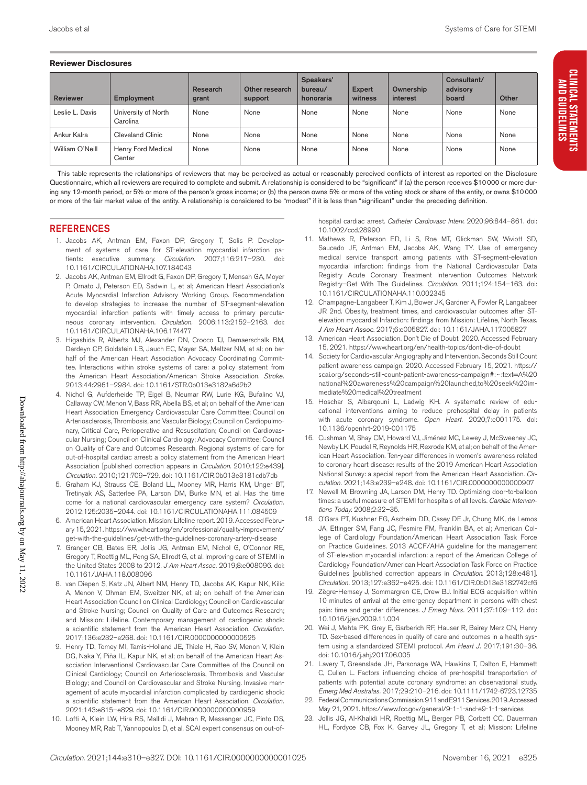#### **Reviewer Disclosures**

| <b>Reviewer</b> | Employment                      | Research<br>grant | Other research<br>support | Speakers'<br>bureau/<br>honoraria | <b>Expert</b><br>witness | Ownership<br>interest | Consultant/<br>advisory<br>board | Other |
|-----------------|---------------------------------|-------------------|---------------------------|-----------------------------------|--------------------------|-----------------------|----------------------------------|-------|
| Leslie L. Davis | University of North<br>Carolina | None              | None                      | None                              | None                     | None                  | None                             | None  |
| Ankur Kalra     | Cleveland Clinic                | None              | None                      | None                              | None                     | None                  | None                             | None  |
| William O'Neill | Henry Ford Medical<br>Center    | None              | None                      | None                              | None                     | None                  | None                             | None  |

This table represents the relationships of reviewers that may be perceived as actual or reasonably perceived conflicts of interest as reported on the Disclosure Questionnaire, which all reviewers are required to complete and submit. A relationship is considered to be "significant" if (a) the person receives \$10000 or more during any 12-month period, or 5% or more of the person's gross income; or (b) the person owns 5% or more of the voting stock or share of the entity, or owns \$10000 or more of the fair market value of the entity. A relationship is considered to be "modest" if it is less than "significant" under the preceding definition.

#### REFERENCES

- 1. Jacobs AK, Antman EM, Faxon DP, Gregory T, Solis P. Development of systems of care for ST-elevation myocardial infarction patients: executive summary. *Circulation.* 2007;116:217–230. doi: 10.1161/CIRCULATIONAHA.107.184043
- 2. Jacobs AK, Antman EM, Ellrodt G, Faxon DP, Gregory T, Mensah GA, Moyer P, Ornato J, Peterson ED, Sadwin L, et al; American Heart Association's Acute Myocardial Infarction Advisory Working Group. Recommendation to develop strategies to increase the number of ST-segment-elevation myocardial infarction patients with timely access to primary percutaneous coronary intervention. *Circulation.* 2006;113:2152–2163. doi: 10.1161/CIRCULATIONAHA.106.174477
- 3. Higashida R, Alberts MJ, Alexander DN, Crocco TJ, Demaerschalk BM, Derdeyn CP, Goldstein LB, Jauch EC, Mayer SA, Meltzer NM, et al; on behalf of the American Heart Association Advocacy Coordinating Committee. Interactions within stroke systems of care: a policy statement from the American Heart Association/American Stroke Association. *Stroke.* 2013;44:2961–2984. doi: 10.1161/STR.0b013e3182a6d2b2
- 4. Nichol G, Aufderheide TP, Eigel B, Neumar RW, Lurie KG, Bufalino VJ, Callaway CW, Menon V, Bass RR, Abella BS, et al; on behalf of the American Heart Association Emergency Cardiovascular Care Committee; Council on Arteriosclerosis, Thrombosis, and Vascular Biology; Council on Cardiopulmonary, Critical Care, Perioperative and Resuscitation; Council on Cardiovascular Nursing; Council on Clinical Cardiology; Advocacy Committee; Council on Quality of Care and Outcomes Research. Regional systems of care for out-of-hospital cardiac arrest: a policy statement from the American Heart Association [published correction appears in *Circulation*. 2010;122:e439]. *Circulation.* 2010;121:709–729. doi: 10.1161/CIR.0b013e3181cdb7db
- 5. Graham KJ, Strauss CE, Boland LL, Mooney MR, Harris KM, Unger BT, Tretinyak AS, Satterlee PA, Larson DM, Burke MN, et al. Has the time come for a national cardiovascular emergency care system? *Circulation.* 2012;125:2035–2044. doi: 10.1161/CIRCULATIONAHA.111.084509
- 6. American Heart Association. Mission: Lifeline report. 2019. Accessed February 15, 2021. https://www.heart.org/en/professional/quality-improvement/ get-with-the-guidelines/get-with-the-guidelines-coronary-artery-disease
- 7. Granger CB, Bates ER, Jollis JG, Antman EM, Nichol G, O'Connor RE, Gregory T, Roettig ML, Peng SA, Ellrodt G, et al. Improving care of STEMI in the United States 2008 to 2012. *J Am Heart Assoc.* 2019;8:e008096. doi: 10.1161/JAHA.118.008096
- 8. van Diepen S, Katz JN, Albert NM, Henry TD, Jacobs AK, Kapur NK, Kilic A, Menon V, Ohman EM, Sweitzer NK, et al; on behalf of the American Heart Association Council on Clinical Cardiology; Council on Cardiovascular and Stroke Nursing; Council on Quality of Care and Outcomes Research; and Mission: Lifeline. Contemporary management of cardiogenic shock: a scientific statement from the American Heart Association. *Circulation.* 2017;136:e232–e268. doi: 10.1161/CIR.0000000000000525
- 9. Henry TD, Tomey MI, Tamis-Holland JE, Thiele H, Rao SV, Menon V, Klein DG, Naka Y, Piña IL, Kapur NK, et al; on behalf of the American Heart Association Interventional Cardiovascular Care Committee of the Council on Clinical Cardiology; Council on Arteriosclerosis, Thrombosis and Vascular Biology; and Council on Cardiovascular and Stroke Nursing. Invasive management of acute myocardial infarction complicated by cardiogenic shock: a scientific statement from the American Heart Association. *Circulation.* 2021;143:e815–e829. doi: 10.1161/CIR.0000000000000959
- 10. Lofti A, Klein LW, Hira RS, Mallidi J, Mehran R, Messenger JC, Pinto DS, Mooney MR, Rab T, Yannopoulos D, et al. SCAI expert consensus on out-of-

hospital cardiac arrest. *Catheter Cardiovasc Interv*. 2020;96:844–861. doi: 10.1002/ccd.28990

- 11. Mathews R, Peterson ED, Li S, Roe MT, Glickman SW, Wiviott SD, Saucedo JF, Antman EM, Jacobs AK, Wang TY. Use of emergency medical service transport among patients with ST-segment-elevation myocardial infarction: findings from the National Cardiovascular Data Registry Acute Coronary Treatment Intervention Outcomes Network Registry–Get With The Guidelines. *Circulation.* 2011;124:154–163. doi: 10.1161/CIRCULATIONAHA.110.002345
- 12. Champagne-Langabeer T, Kim J, Bower JK, Gardner A, Fowler R, Langabeer JR 2nd. Obesity, treatment times, and cardiovascular outcomes after STelevation myocardial Infarction: findings from Mission: Lifeline, North Texas. *J Am Heart Assoc*. 2017;6:e005827. doi: 10.1161/JAHA.117.005827
- 13. American Heart Association. Don't Die of Doubt. 2020. Accessed February 15, 2021. https://www.heart.org/en/health-topics/dont-die-of-doubt
- 14. Society for Cardiovascular Angiography and Intervention. Seconds Still Count patient awareness campaign. 2020. Accessed February 15, 2021. https:// scai.org/seconds-still-count-patient-awareness-campaign#:~:text=A%20 national%20awareness%20campaign%20launched,to%20seek%20immediate%20medical%20treatment
- 15. Hoschar S, Albarqouni L, Ladwig KH. A systematic review of educational interventions aiming to reduce prehospital delay in patients with acute coronary syndrome. *Open Heart.* 2020;7:e001175. doi: 10.1136/openhrt-2019-001175
- 16. Cushman M, Shay CM, Howard VJ, Jiménez MC, Lewey J, McSweeney JC, Newby LK, Poudel R, Reynolds HR, Rexrode KM, et al; on behalf of the American Heart Association. Ten-year differences in women's awareness related to coronary heart disease: results of the 2019 American Heart Association National Survey: a special report from the American Heart Association. *Circulation.* 2021;143:e239–e248. doi: 10.1161/CIR.0000000000000907
- 17. Newell M, Browning JA, Larson DM, Henry TD. Optimizing door-to-balloon times: a useful measure of STEMI for hospitals of all levels. *Cardiac Interventions Today*. 2008;2:32–35.
- 18. O'Gara PT, Kushner FG, Ascheim DD, Casey DE Jr, Chung MK, de Lemos JA, Ettinger SM, Fang JC, Fesmire FM, Franklin BA, et al; American College of Cardiology Foundation/American Heart Association Task Force on Practice Guidelines. 2013 ACCF/AHA guideline for the management of ST-elevation myocardial infarction: a report of the American College of Cardiology Foundation/American Heart Association Task Force on Practice Guidelines [published correction appears in *Circulation*. 2013;128:e481]. *Circulation.* 2013;127:e362–e425. doi: 10.1161/CIR.0b013e3182742cf6
- 19. Zègre-Hemsey J, Sommargren CE, Drew BJ. Initial ECG acquisition within 10 minutes of arrival at the emergency department in persons with chest pain: time and gender differences. *J Emerg Nurs.* 2011;37:109–112. doi: 10.1016/j.jen.2009.11.004
- 20. Wei J, Mehta PK, Grey E, Garberich RF, Hauser R, Bairey Merz CN, Henry TD. Sex-based differences in quality of care and outcomes in a health system using a standardized STEMI protocol. *Am Heart J.* 2017;191:30–36. doi: 10.1016/j.ahj.2017.06.005
- 21. Lavery T, Greenslade JH, Parsonage WA, Hawkins T, Dalton E, Hammett C, Cullen L. Factors influencing choice of pre-hospital transportation of patients with potential acute coronary syndrome: an observational study. *Emerg Med Australas.* 2017;29:210–216. doi: 10.1111/1742-6723.12735
- 22. Federal Communications Commission. 911 and E911 Services. 2019. Accessed May 21, 2021. https://www.fcc.gov/general/9-1-1-and-e9-1-1-services
- 23. Jollis JG, Al-Khalidi HR, Roettig ML, Berger PB, Corbett CC, Dauerman HL, Fordyce CB, Fox K, Garvey JL, Gregory T, et al; Mission: Lifeline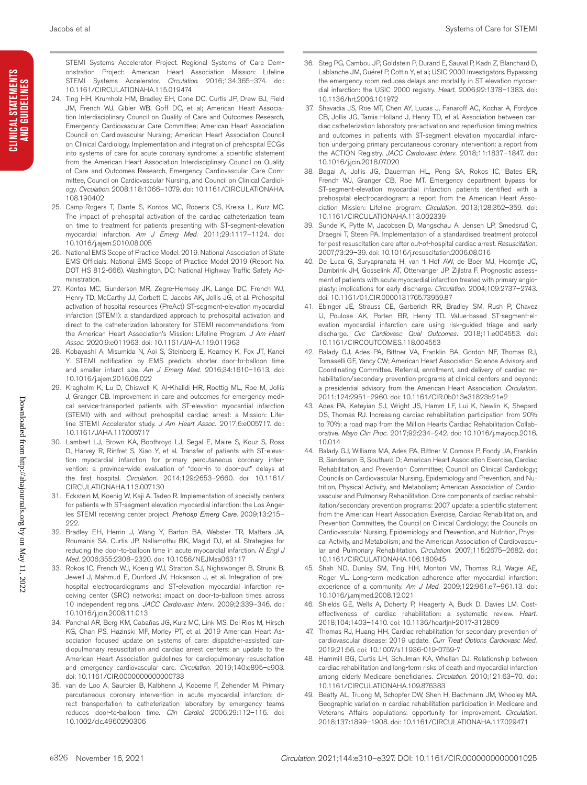CLINICAL STATEMENTS<br>And Guidelines **CLINICAL STATEMENTS AND GUIDELINES**

STEMI Systems Accelerator Project. Regional Systems of Care Demonstration Project: American Heart Association Mission: Lifeline STEMI Systems Accelerator. *Circulation*. 2016;134:365–374. doi: 10.1161/CIRCULATIONAHA.115.019474

- 24. Ting HH, Krumholz HM, Bradley EH, Cone DC, Curtis JP, Drew BJ, Field JM, French WJ, Gibler WB, Goff DC, et al; American Heart Association Interdisciplinary Council on Quality of Care and Outcomes Research, Emergency Cardiovascular Care Committee; American Heart Association Council on Cardiovascular Nursing; American Heart Association Council on Clinical Cardiology. Implementation and integration of prehospital ECGs into systems of care for acute coronary syndrome: a scientific statement from the American Heart Association Interdisciplinary Council on Quality of Care and Outcomes Research, Emergency Cardiovascular Care Committee, Council on Cardiovascular Nursing, and Council on Clinical Cardiology. *Circulation*. 2008;118:1066–1079. doi: 10.1161/CIRCULATIONAHA. 108.190402
- 25. Camp-Rogers T, Dante S, Kontos MC, Roberts CS, Kreisa L, Kurz MC. The impact of prehospital activation of the cardiac catheterization team on time to treatment for patients presenting with ST-segment-elevation myocardial infarction. *Am J Emerg Med.* 2011;29:1117–1124. doi: 10.1016/j.ajem.2010.08.005
- 26. National EMS Scope of Practice Model. 2019. National Association of State EMS Officials. National EMS Scope of Practice Model 2019 (Report No. DOT HS 812-666). Washington, DC: National Highway Traffic Safety Administration.
- 27. Kontos MC, Gunderson MR, Zegre-Hemsey JK, Lange DC, French WJ, Henry TD, McCarthy JJ, Corbett C, Jacobs AK, Jollis JG, et al. Prehospital activation of hospital resources (PreAct) ST-segment-elevation myocardial infarction (STEMI): a standardized approach to prehospital activation and direct to the catheterization laboratory for STEMI recommendations from the American Heart Association's Mission: Lifeline Program. *J Am Heart Assoc.* 2020;9:e011963. doi: 10.1161/JAHA.119.011963
- 28. Kobayashi A, Misumida N, Aoi S, Steinberg E, Kearney K, Fox JT, Kanei Y. STEMI notification by EMS predicts shorter door-to-balloon time and smaller infarct size. *Am J Emerg Med.* 2016;34:1610–1613. doi: 10.1016/j.ajem.2016.06.022
- 29. Kragholm K, Lu D, Chiswell K, Al-Khalidi HR, Roettig ML, Roe M, Jollis J, Granger CB. Improvement in care and outcomes for emergency medical service-transported patients with ST-elevation myocardial infarction (STEMI) with and without prehospital cardiac arrest: a Mission: Lifeline STEMI Accelerator study. *J Am Heart Assoc.* 2017;6:e005717. doi: 10.1161/JAHA.117.005717
- 30. Lambert LJ, Brown KA, Boothroyd LJ, Segal E, Maire S, Kouz S, Ross D, Harvey R, Rinfret S, Xiao Y, et al. Transfer of patients with ST-elevation myocardial infarction for primary percutaneous coronary intervention: a province-wide evaluation of "door-in to door-out" delays at the first hospital. *Circulation.* 2014;129:2653–2660. doi: 10.1161/ CIRCULATIONAHA.113.007130
- 31. Eckstein M, Koenig W, Kaji A, Tadeo R. Implementation of specialty centers for patients with ST-segment elevation myocardial infarction: the Los Angeles STEMI receiving center project. *Prehosp Emerg Care*. 2009;13:215– 222.
- 32. Bradley EH, Herrin J, Wang Y, Barton BA, Webster TR, Mattera JA, Roumanis SA, Curtis JP, Nallamothu BK, Magid DJ, et al. Strategies for reducing the door-to-balloon time in acute myocardial infarction. *N Engl J Med.* 2006;355:2308–2320. doi: 10.1056/NEJMsa063117
- 33. Rokos IC, French WJ, Koenig WJ, Stratton SJ, Nighswonger B, Strunk B, Jewell J, Mahmud E, Dunford JV, Hokanson J, et al. Integration of prehospital electrocardiograms and ST-elevation myocardial infarction receiving center (SRC) networks: impact on door-to-balloon times across 10 independent regions. *JACC Cardiovasc Interv.* 2009;2:339–346. doi: 10.1016/j.jcin.2008.11.013
- 34. Panchal AR, Berg KM, Cabañas JG, Kurz MC, Link MS, Del Rios M, Hirsch KG, Chan PS, Hazinski MF, Morley PT, et al. 2019 American Heart Association focused update on systems of care: dispatcher-assisted cardiopulmonary resuscitation and cardiac arrest centers: an update to the American Heart Association guidelines for cardiopulmonary resuscitation and emergency cardiovascular care. *Circulation.* 2019;140:e895–e903. doi: 10.1161/CIR.0000000000000733
- 35. van de Loo A, Saurbier B, Kalbhenn J, Koberne F, Zehender M. Primary percutaneous coronary intervention in acute myocardial infarction: direct transportation to catheterization laboratory by emergency teams reduces door-to-balloon time. *Clin Cardiol*. 2006;29:112–116. doi: 10.1002/clc.4960290306
- 36. Steg PG, Cambou JP, Goldstein P, Durand E, Sauval P, Kadri Z, Blanchard D, Lablanche JM, Guéret P, Cottin Y, et al; USIC 2000 Investigators. Bypassing the emergency room reduces delays and mortality in ST elevation myocardial infarction: the USIC 2000 registry. *Heart.* 2006;92:1378–1383. doi: 10.1136/hrt.2006.101972
- 37. Shavadia JS, Roe MT, Chen AY, Lucas J, Fanaroff AC, Kochar A, Fordyce CB, Jollis JG, Tamis-Holland J, Henry TD, et al. Association between cardiac catheterization laboratory pre-activation and reperfusion timing metrics and outcomes in patients with ST-segment elevation myocardial infarction undergoing primary percutaneous coronary intervention: a report from the ACTION Registry. *JACC Cardiovasc Interv.* 2018;11:1837–1847. doi: 10.1016/j.jcin.2018.07.020
- 38. Bagai A, Jollis JG, Dauerman HL, Peng SA, Rokos IC, Bates ER, French WJ, Granger CB, Roe MT. Emergency department bypass for ST-segment-elevation myocardial infarction patients identified with a prehospital electrocardiogram: a report from the American Heart Association Mission: Lifeline program. *Circulation.* 2013;128:352–359. doi: 10.1161/CIRCULATIONAHA.113.002339
- 39. Sunde K, Pytte M, Jacobsen D, Mangschau A, Jensen LP, Smedsrud C, Draegni T, Steen PA. Implementation of a standardised treatment protocol for post resuscitation care after out-of-hospital cardiac arrest. *Resuscitation.* 2007;73:29–39. doi: 10.1016/j.resuscitation.2006.08.016
- 40. De Luca G, Suryapranata H, van 't Hof AW, de Boer MJ, Hoorntje JC, Dambrink JH, Gosselink AT, Ottervanger JP, Zijlstra F. Prognostic assessment of patients with acute myocardial infarction treated with primary angioplasty: implications for early discharge. *Circulation.* 2004;109:2737–2743. doi: 10.1161/01.CIR.0000131765.73959.87
- 41. Ebinger JE, Strauss CE, Garberich RR, Bradley SM, Rush P, Chavez IJ, Poulose AK, Porten BR, Henry TD. Value-based ST-segment-elevation myocardial infarction care using risk-guided triage and early discharge. *Circ Cardiovasc Qual Outcomes.* 2018;11:e004553. doi: 10.1161/CIRCOUTCOMES.118.004553
- 42. Balady GJ, Ades PA, Bittner VA, Franklin BA, Gordon NF, Thomas RJ, Tomaselli GF, Yancy CW; American Heart Association Science Advisory and Coordinating Committee. Referral, enrollment, and delivery of cardiac rehabilitation/secondary prevention programs at clinical centers and beyond: a presidential advisory from the American Heart Association. *Circulation.* 2011;124:2951–2960. doi: 10.1161/CIR.0b013e31823b21e2
- 43. Ades PA, Keteyian SJ, Wright JS, Hamm LF, Lui K, Newlin K, Shepard DS, Thomas RJ. Increasing cardiac rehabilitation participation from 20% to 70%: a road map from the Million Hearts Cardiac Rehabilitation Collaborative. *Mayo Clin Proc.* 2017;92:234–242. doi: 10.1016/j.mayocp.2016. 10.014
- 44. Balady GJ, Williams MA, Ades PA, Bittner V, Comoss P, Foody JA, Franklin B, Sanderson B, Southard D; American Heart Association Exercise, Cardiac Rehabilitation, and Prevention Committee; Council on Clinical Cardiology; Councils on Cardiovascular Nursing, Epidemiology and Prevention, and Nutrition, Physical Activity, and Metabolism; American Association of Cardiovascular and Pulmonary Rehabilitation. Core components of cardiac rehabilitation/secondary prevention programs: 2007 update: a scientific statement from the American Heart Association Exercise, Cardiac Rehabilitation, and Prevention Committee, the Council on Clinical Cardiology; the Councils on Cardiovascular Nursing, Epidemiology and Prevention, and Nutrition, Physical Activity, and Metabolism; and the American Association of Cardiovascular and Pulmonary Rehabilitation. *Circulation.* 2007;115:2675–2682. doi: 10.1161/CIRCULATIONAHA.106.180945
- 45. Shah ND, Dunlay SM, Ting HH, Montori VM, Thomas RJ, Wagie AE, Roger VL. Long-term medication adherence after myocardial infarction: experience of a community. *Am J Med.* 2009;122:961.e7–961.13. doi: 10.1016/j.amjmed.2008.12.021
- 46. Shields GE, Wells A, Doherty P, Heagerty A, Buck D, Davies LM. Costeffectiveness of cardiac rehabilitation: a systematic review. *Heart.* 2018;104:1403–1410. doi: 10.1136/heartjnl-2017-312809
- 47. Thomas RJ, Huang HH. Cardiac rehabilitation for secondary prevention of cardiovascular disease: 2019 update. *Curr Treat Options Cardiovasc Med.* 2019;21:56. doi: 10.1007/s11936-019-0759-7
- 48. Hammill BG, Curtis LH, Schulman KA, Whellan DJ. Relationship between cardiac rehabilitation and long-term risks of death and myocardial infarction among elderly Medicare beneficiaries. *Circulation.* 2010;121:63–70. doi: 10.1161/CIRCULATIONAHA.109.876383
- 49. Beatty AL, Truong M, Schopfer DW, Shen H, Bachmann JM, Whooley MA. Geographic variation in cardiac rehabilitation participation in Medicare and Veterans Affairs populations: opportunity for improvement. *Circulation.* 2018;137:1899–1908. doi: 10.1161/CIRCULATIONAHA.117.029471